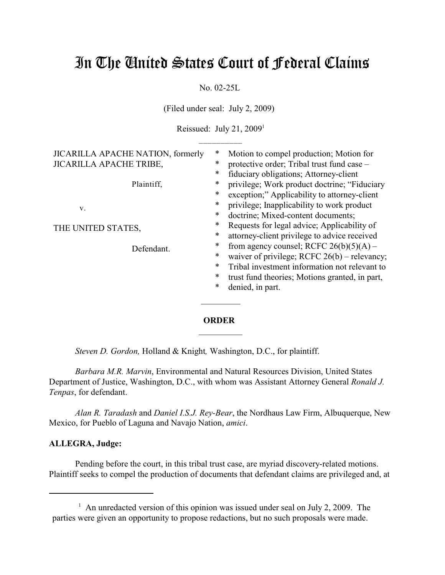# In The United States Court of Federal Claims

No. 02-25L

(Filed under seal: July 2, 2009)

Reissued: July 21,  $2009<sup>1</sup>$  $\_$   $\_$ 

| Motion to compel production; Motion for<br>∗<br>protective order; Tribal trust fund case -<br>$\ast$<br>∗                                       |
|-------------------------------------------------------------------------------------------------------------------------------------------------|
| fiduciary obligations; Attorney-client<br>$\ast$<br>privilege; Work product doctrine; "Fiduciary<br>$\ast$                                      |
| exception;" Applicability to attorney-client<br>$\ast$<br>privilege; Inapplicability to work product<br>doctrine; Mixed-content documents;<br>∗ |
| *<br>Requests for legal advice; Applicability of<br>$\ast$<br>attorney-client privilege to advice received                                      |
| from agency counsel; RCFC $26(b)(5)(A)$ –<br>∗<br>*<br>waiver of privilege; RCFC $26(b)$ – relevancy;                                           |
| Tribal investment information not relevant to<br>∗<br>∗<br>trust fund theories; Motions granted, in part,<br>$\ast$<br>denied, in part.         |
|                                                                                                                                                 |

## **ORDER**  $\frac{1}{2}$

*Steven D. Gordon,* Holland & Knight*,* Washington, D.C., for plaintiff.

*Barbara M.R. Marvin*, Environmental and Natural Resources Division, United States Department of Justice, Washington, D.C., with whom was Assistant Attorney General *Ronald J. Tenpas*, for defendant.

*Alan R. Taradash* and *Daniel I.S.J. Rey-Bear*, the Nordhaus Law Firm, Albuquerque, New Mexico, for Pueblo of Laguna and Navajo Nation, *amici*.

## **ALLEGRA, Judge:**

Pending before the court, in this tribal trust case, are myriad discovery-related motions. Plaintiff seeks to compel the production of documents that defendant claims are privileged and, at

<sup>&</sup>lt;sup>1</sup> An unredacted version of this opinion was issued under seal on July 2, 2009. The parties were given an opportunity to propose redactions, but no such proposals were made.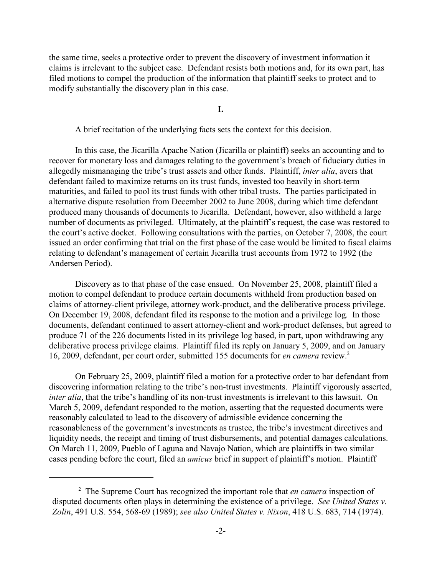the same time, seeks a protective order to prevent the discovery of investment information it claims is irrelevant to the subject case. Defendant resists both motions and, for its own part, has filed motions to compel the production of the information that plaintiff seeks to protect and to modify substantially the discovery plan in this case.

**I.**

A brief recitation of the underlying facts sets the context for this decision.

In this case, the Jicarilla Apache Nation (Jicarilla or plaintiff) seeks an accounting and to recover for monetary loss and damages relating to the government's breach of fiduciary duties in allegedly mismanaging the tribe's trust assets and other funds. Plaintiff, *inter alia*, avers that defendant failed to maximize returns on its trust funds, invested too heavily in short-term maturities, and failed to pool its trust funds with other tribal trusts. The parties participated in alternative dispute resolution from December 2002 to June 2008, during which time defendant produced many thousands of documents to Jicarilla. Defendant, however, also withheld a large number of documents as privileged. Ultimately, at the plaintiff's request, the case was restored to the court's active docket. Following consultations with the parties, on October 7, 2008, the court issued an order confirming that trial on the first phase of the case would be limited to fiscal claims relating to defendant's management of certain Jicarilla trust accounts from 1972 to 1992 (the Andersen Period).

Discovery as to that phase of the case ensued. On November 25, 2008, plaintiff filed a motion to compel defendant to produce certain documents withheld from production based on claims of attorney-client privilege, attorney work-product, and the deliberative process privilege. On December 19, 2008, defendant filed its response to the motion and a privilege log. In those documents, defendant continued to assert attorney-client and work-product defenses, but agreed to produce 71 of the 226 documents listed in its privilege log based, in part, upon withdrawing any deliberative process privilege claims. Plaintiff filed its reply on January 5, 2009, and on January 16, 2009, defendant, per court order, submitted 155 documents for *en camera* review.<sup>2</sup>

On February 25, 2009, plaintiff filed a motion for a protective order to bar defendant from discovering information relating to the tribe's non-trust investments. Plaintiff vigorously asserted, *inter alia*, that the tribe's handling of its non-trust investments is irrelevant to this lawsuit. On March 5, 2009, defendant responded to the motion, asserting that the requested documents were reasonably calculated to lead to the discovery of admissible evidence concerning the reasonableness of the government's investments as trustee, the tribe's investment directives and liquidity needs, the receipt and timing of trust disbursements, and potential damages calculations. On March 11, 2009, Pueblo of Laguna and Navajo Nation, which are plaintiffs in two similar cases pending before the court, filed an *amicus* brief in support of plaintiff's motion. Plaintiff

<sup>&</sup>lt;sup>2</sup> The Supreme Court has recognized the important role that *en camera* inspection of disputed documents often plays in determining the existence of a privilege. *See United States v. Zolin*, 491 U.S. 554, 568-69 (1989); *see also United States v. Nixon*, 418 U.S. 683, 714 (1974).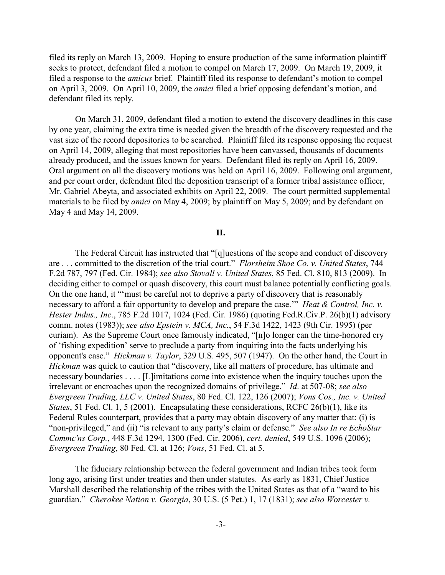filed its reply on March 13, 2009. Hoping to ensure production of the same information plaintiff seeks to protect, defendant filed a motion to compel on March 17, 2009. On March 19, 2009, it filed a response to the *amicus* brief. Plaintiff filed its response to defendant's motion to compel on April 3, 2009. On April 10, 2009, the *amici* filed a brief opposing defendant's motion, and defendant filed its reply.

On March 31, 2009, defendant filed a motion to extend the discovery deadlines in this case by one year, claiming the extra time is needed given the breadth of the discovery requested and the vast size of the record depositories to be searched. Plaintiff filed its response opposing the request on April 14, 2009, alleging that most repositories have been canvassed, thousands of documents already produced, and the issues known for years. Defendant filed its reply on April 16, 2009. Oral argument on all the discovery motions was held on April 16, 2009. Following oral argument, and per court order, defendant filed the deposition transcript of a former tribal assistance officer, Mr. Gabriel Abeyta, and associated exhibits on April 22, 2009. The court permitted supplemental materials to be filed by *amici* on May 4, 2009; by plaintiff on May 5, 2009; and by defendant on May 4 and May 14, 2009.

**II.**

The Federal Circuit has instructed that "[q]uestions of the scope and conduct of discovery are . . . committed to the discretion of the trial court." *Florsheim Shoe Co. v. United States*, 744 F.2d 787, 797 (Fed. Cir. 1984); *see also Stovall v. United States*, 85 Fed. Cl. 810, 813 (2009). In deciding either to compel or quash discovery, this court must balance potentially conflicting goals. On the one hand, it "'must be careful not to deprive a party of discovery that is reasonably necessary to afford a fair opportunity to develop and prepare the case.'" *Heat & Control, Inc. v. Hester Indus., Inc*., 785 F.2d 1017, 1024 (Fed. Cir. 1986) (quoting Fed.R.Civ.P. 26(b)(1) advisory comm. notes (1983)); *see also Epstein v. MCA, Inc.*, 54 F.3d 1422, 1423 (9th Cir. 1995) (per curiam). As the Supreme Court once famously indicated, "[n]o longer can the time-honored cry of 'fishing expedition' serve to preclude a party from inquiring into the facts underlying his opponent's case." *Hickman v. Taylor*, 329 U.S. 495, 507 (1947). On the other hand, the Court in *Hickman* was quick to caution that "discovery, like all matters of procedure, has ultimate and necessary boundaries . . . . [L]imitations come into existence when the inquiry touches upon the irrelevant or encroaches upon the recognized domains of privilege." *Id*. at 507-08; *see also Evergreen Trading, LLC v. United States*, 80 Fed. Cl. 122, 126 (2007); *Vons Cos., Inc. v. United States*, 51 Fed. Cl. 1, 5 (2001). Encapsulating these considerations, RCFC 26(b)(1), like its Federal Rules counterpart, provides that a party may obtain discovery of any matter that: (i) is "non-privileged," and (ii) "is relevant to any party's claim or defense." *See also In re EchoStar Commc'ns Corp.*, 448 F.3d 1294, 1300 (Fed. Cir. 2006), *cert. denied*, 549 U.S. 1096 (2006); *Evergreen Trading*, 80 Fed. Cl. at 126; *Vons*, 51 Fed. Cl. at 5.

The fiduciary relationship between the federal government and Indian tribes took form long ago, arising first under treaties and then under statutes. As early as 1831, Chief Justice Marshall described the relationship of the tribes with the United States as that of a "ward to his guardian." *Cherokee Nation v. Georgia*, 30 U.S. (5 Pet.) 1, 17 (1831); *see also Worcester v.*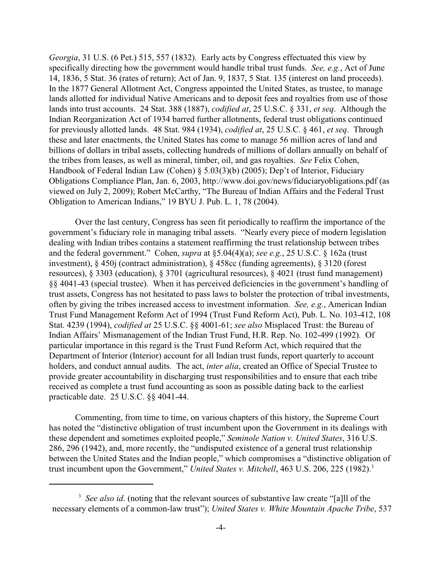*Georgia*, 31 U.S. (6 Pet.) 515, 557 (1832). Early acts by Congress effectuated this view by specifically directing how the government would handle tribal trust funds. *See, e.g.*, Act of June 14, 1836, 5 Stat. 36 (rates of return); Act of Jan. 9, 1837, 5 Stat. 135 (interest on land proceeds). In the 1877 General Allotment Act, Congress appointed the United States, as trustee, to manage lands allotted for individual Native Americans and to deposit fees and royalties from use of those lands into trust accounts. 24 Stat. 388 (1887), *codified at*, 25 U.S.C. § 331, *et seq*. Although the Indian Reorganization Act of 1934 barred further allotments, federal trust obligations continued for previously allotted lands. 48 Stat. 984 (1934), *codified at*, 25 U.S.C. § 461, *et seq*. Through these and later enactments, the United States has come to manage 56 million acres of land and billions of dollars in tribal assets, collecting hundreds of millions of dollars annually on behalf of the tribes from leases, as well as mineral, timber, oil, and gas royalties. *See* Felix Cohen, Handbook of Federal Indian Law (Cohen) § 5.03(3)(b) (2005); Dep't of Interior, Fiduciary Obligations Compliance Plan, Jan. 6, 2003, http://www.doi.gov/news/fiduciaryobligations.pdf (as viewed on July 2, 2009); Robert McCarthy, "The Bureau of Indian Affairs and the Federal Trust Obligation to American Indians," 19 BYU J. Pub. L. 1, 78 (2004).

Over the last century, Congress has seen fit periodically to reaffirm the importance of the government's fiduciary role in managing tribal assets. "Nearly every piece of modern legislation dealing with Indian tribes contains a statement reaffirming the trust relationship between tribes and the federal government." Cohen, *supra* at §5.04(4)(a); *see e.g.*, 25 U.S.C. § 162a (trust investment), § 450j (contract administration), § 458cc (funding agreements), § 3120 (forest resources), § 3303 (education), § 3701 (agricultural resources), § 4021 (trust fund management) §§ 4041-43 (special trustee). When it has perceived deficiencies in the government's handling of trust assets, Congress has not hesitated to pass laws to bolster the protection of tribal investments, often by giving the tribes increased access to investment information. *See, e.g.*, American Indian Trust Fund Management Reform Act of 1994 (Trust Fund Reform Act), Pub. L. No. 103-412, 108 Stat. 4239 (1994), *codified at* 25 U.S.C. §§ 4001-61; *see also* Misplaced Trust: the Bureau of Indian Affairs' Mismanagement of the Indian Trust Fund, H.R. Rep. No. 102-499 (1992). Of particular importance in this regard is the Trust Fund Reform Act, which required that the Department of Interior (Interior) account for all Indian trust funds, report quarterly to account holders, and conduct annual audits. The act, *inter alia*, created an Office of Special Trustee to provide greater accountability in discharging trust responsibilities and to ensure that each tribe received as complete a trust fund accounting as soon as possible dating back to the earliest practicable date. 25 U.S.C. §§ 4041-44.

Commenting, from time to time, on various chapters of this history, the Supreme Court has noted the "distinctive obligation of trust incumbent upon the Government in its dealings with these dependent and sometimes exploited people," *Seminole Nation v. United States*, 316 U.S. 286, 296 (1942), and, more recently, the "undisputed existence of a general trust relationship between the United States and the Indian people," which compromises a "distinctive obligation of trust incumbent upon the Government," *United States v. Mitchell*, 463 U.S. 206, 225 (1982).<sup>3</sup>

<sup>&</sup>lt;sup>3</sup> See also id. (noting that the relevant sources of substantive law create "[a]ll of the necessary elements of a common-law trust"); *United States v. White Mountain Apache Tribe*, 537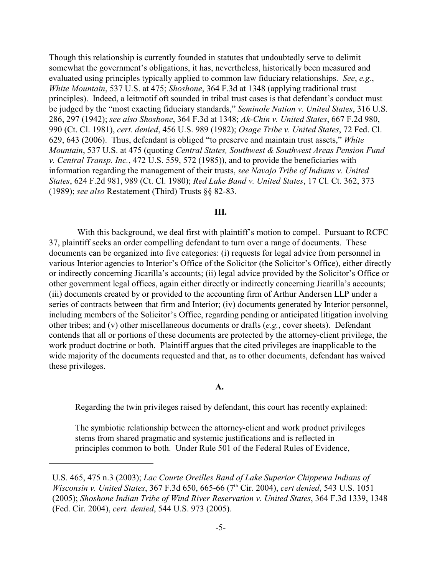Though this relationship is currently founded in statutes that undoubtedly serve to delimit somewhat the government's obligations, it has, nevertheless, historically been measured and evaluated using principles typically applied to common law fiduciary relationships. *See*, *e.g.*, *White Mountain*, 537 U.S. at 475; *Shoshone*, 364 F.3d at 1348 (applying traditional trust principles). Indeed, a leitmotif oft sounded in tribal trust cases is that defendant's conduct must be judged by the "most exacting fiduciary standards," *Seminole Nation v. United States*, 316 U.S. 286, 297 (1942); *see also Shoshone*, 364 F.3d at 1348; *Ak-Chin v. United States*, 667 F.2d 980, 990 (Ct. Cl. 1981), *cert. denied*, 456 U.S. 989 (1982); *Osage Tribe v. United States*, 72 Fed. Cl. 629, 643 (2006). Thus, defendant is obliged "to preserve and maintain trust assets," *White Mountain*, 537 U.S. at 475 (quoting *Central States, Southwest & Southwest Areas Pension Fund v. Central Transp. Inc.*, 472 U.S. 559, 572 (1985)), and to provide the beneficiaries with information regarding the management of their trusts, *see Navajo Tribe of Indians v. United States*, 624 F.2d 981, 989 (Ct. Cl. 1980); *Red Lake Band v. United States*, 17 Cl. Ct. 362, 373 (1989); *see also* Restatement (Third) Trusts §§ 82-83.

#### **III.**

 With this background, we deal first with plaintiff's motion to compel. Pursuant to RCFC 37, plaintiff seeks an order compelling defendant to turn over a range of documents. These documents can be organized into five categories: (i) requests for legal advice from personnel in various Interior agencies to Interior's Office of the Solicitor (the Solicitor's Office), either directly or indirectly concerning Jicarilla's accounts; (ii) legal advice provided by the Solicitor's Office or other government legal offices, again either directly or indirectly concerning Jicarilla's accounts; (iii) documents created by or provided to the accounting firm of Arthur Andersen LLP under a series of contracts between that firm and Interior; (iv) documents generated by Interior personnel, including members of the Solicitor's Office, regarding pending or anticipated litigation involving other tribes; and (v) other miscellaneous documents or drafts (*e.g.*, cover sheets). Defendant contends that all or portions of these documents are protected by the attorney-client privilege, the work product doctrine or both. Plaintiff argues that the cited privileges are inapplicable to the wide majority of the documents requested and that, as to other documents, defendant has waived these privileges.

#### **A.**

Regarding the twin privileges raised by defendant, this court has recently explained:

The symbiotic relationship between the attorney-client and work product privileges stems from shared pragmatic and systemic justifications and is reflected in principles common to both. Under Rule 501 of the Federal Rules of Evidence,

U.S. 465, 475 n.3 (2003); *Lac Courte Oreilles Band of Lake Superior Chippewa Indians of Wisconsin v. United States, 367 F.3d 650, 665-66 (7<sup>th</sup> Cir. 2004), <i>cert denied, 543 U.S.* 1051 (2005); *Shoshone Indian Tribe of Wind River Reservation v. United States*, 364 F.3d 1339, 1348 (Fed. Cir. 2004), *cert. denied*, 544 U.S. 973 (2005).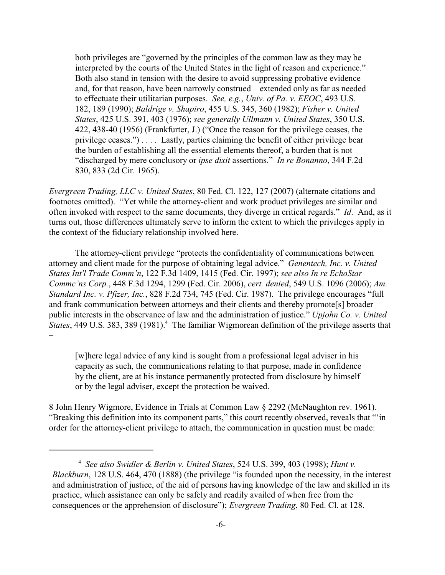both privileges are "governed by the principles of the common law as they may be interpreted by the courts of the United States in the light of reason and experience." Both also stand in tension with the desire to avoid suppressing probative evidence and, for that reason, have been narrowly construed – extended only as far as needed to effectuate their utilitarian purposes. *See, e.g.*, *Univ. of Pa. v. EEOC*, 493 U.S. 182, 189 (1990); *Baldrige v. Shapiro*, 455 U.S. 345, 360 (1982); *Fisher v. United States*, 425 U.S. 391, 403 (1976); *see generally Ullmann v. United States*, 350 U.S. 422, 438-40 (1956) (Frankfurter, J.) ("Once the reason for the privilege ceases, the privilege ceases.") . . . . Lastly, parties claiming the benefit of either privilege bear the burden of establishing all the essential elements thereof, a burden that is not "discharged by mere conclusory or *ipse dixit* assertions." *In re Bonanno*, 344 F.2d 830, 833 (2d Cir. 1965).

*Evergreen Trading, LLC v. United States*, 80 Fed. Cl. 122, 127 (2007) (alternate citations and footnotes omitted). "Yet while the attorney-client and work product privileges are similar and often invoked with respect to the same documents, they diverge in critical regards." *Id*. And, as it turns out, those differences ultimately serve to inform the extent to which the privileges apply in the context of the fiduciary relationship involved here.

The attorney-client privilege "protects the confidentiality of communications between attorney and client made for the purpose of obtaining legal advice." *Genentech, Inc. v. United States Int'l Trade Comm'n*, 122 F.3d 1409, 1415 (Fed. Cir. 1997); *see also In re EchoStar Commc'ns Corp.*, 448 F.3d 1294, 1299 (Fed. Cir. 2006), *cert. denied*, 549 U.S. 1096 (2006); *Am. Standard Inc. v. Pfizer, Inc.*, 828 F.2d 734, 745 (Fed. Cir. 1987). The privilege encourages "full and frank communication between attorneys and their clients and thereby promote[s] broader public interests in the observance of law and the administration of justice." *Upjohn Co. v. United States*, 449 U.S. 383, 389 (1981).<sup>4</sup> The familiar Wigmorean definition of the privilege asserts that –

[w]here legal advice of any kind is sought from a professional legal adviser in his capacity as such, the communications relating to that purpose, made in confidence by the client, are at his instance permanently protected from disclosure by himself or by the legal adviser, except the protection be waived.

8 John Henry Wigmore, Evidence in Trials at Common Law § 2292 (McNaughton rev. 1961). "Breaking this definition into its component parts," this court recently observed, reveals that "'in order for the attorney-client privilege to attach, the communication in question must be made:

*See also Swidler & Berlin v. United States*, 524 U.S. 399, 403 (1998); *Hunt v.* <sup>4</sup> *Blackburn*, 128 U.S. 464, 470 (1888) (the privilege "is founded upon the necessity, in the interest and administration of justice, of the aid of persons having knowledge of the law and skilled in its practice, which assistance can only be safely and readily availed of when free from the consequences or the apprehension of disclosure"); *Evergreen Trading*, 80 Fed. Cl. at 128.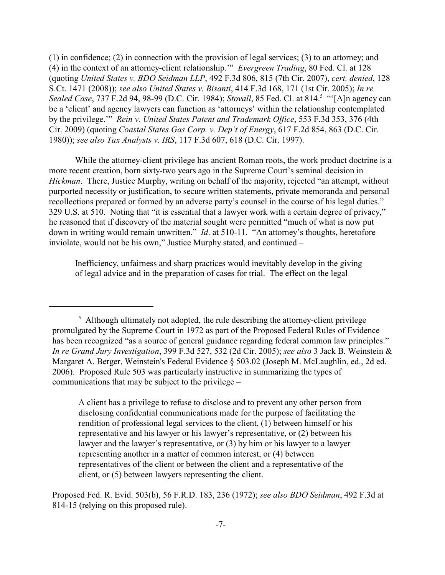(1) in confidence; (2) in connection with the provision of legal services; (3) to an attorney; and (4) in the context of an attorney-client relationship.'" *Evergreen Trading*, 80 Fed. Cl. at 128 (quoting *United States v. BDO Seidman LLP*, 492 F.3d 806, 815 (7th Cir. 2007), *cert. denied*, 128 S.Ct. 1471 (2008)); *see also United States v. Bisanti*, 414 F.3d 168, 171 (1st Cir. 2005); *In re Sealed Case*, 737 F.2d 94, 98-99 (D.C. Cir. 1984); *Stovall*, 85 Fed. Cl. at 814. "'[A]n agency can <sup>5</sup> be a 'client' and agency lawyers can function as 'attorneys' within the relationship contemplated by the privilege.'" *Rein v. United States Patent and Trademark Office*, 553 F.3d 353, 376 (4th Cir. 2009) (quoting *Coastal States Gas Corp. v. Dep't of Energy*, 617 F.2d 854, 863 (D.C. Cir. 1980)); *see also Tax Analysts v. IRS*, 117 F.3d 607, 618 (D.C. Cir. 1997).

While the attorney-client privilege has ancient Roman roots, the work product doctrine is a more recent creation, born sixty-two years ago in the Supreme Court's seminal decision in *Hickman*. There, Justice Murphy, writing on behalf of the majority, rejected "an attempt, without purported necessity or justification, to secure written statements, private memoranda and personal recollections prepared or formed by an adverse party's counsel in the course of his legal duties." 329 U.S. at 510. Noting that "it is essential that a lawyer work with a certain degree of privacy," he reasoned that if discovery of the material sought were permitted "much of what is now put down in writing would remain unwritten." *Id*. at 510-11. "An attorney's thoughts, heretofore inviolate, would not be his own," Justice Murphy stated, and continued –

Inefficiency, unfairness and sharp practices would inevitably develop in the giving of legal advice and in the preparation of cases for trial. The effect on the legal

 $\frac{1}{2}$ . Although ultimately not adopted, the rule describing the attorney-client privilege promulgated by the Supreme Court in 1972 as part of the Proposed Federal Rules of Evidence has been recognized "as a source of general guidance regarding federal common law principles." *In re Grand Jury Investigation*, 399 F.3d 527, 532 (2d Cir. 2005); *see also* 3 Jack B. Weinstein & Margaret A. Berger, Weinstein's Federal Evidence § 503.02 (Joseph M. McLaughlin, ed., 2d ed. 2006). Proposed Rule 503 was particularly instructive in summarizing the types of communications that may be subject to the privilege –

A client has a privilege to refuse to disclose and to prevent any other person from disclosing confidential communications made for the purpose of facilitating the rendition of professional legal services to the client, (1) between himself or his representative and his lawyer or his lawyer's representative, or (2) between his lawyer and the lawyer's representative, or (3) by him or his lawyer to a lawyer representing another in a matter of common interest, or (4) between representatives of the client or between the client and a representative of the client, or (5) between lawyers representing the client.

Proposed Fed. R. Evid. 503(b), 56 F.R.D. 183, 236 (1972); *see also BDO Seidman*, 492 F.3d at 814-15 (relying on this proposed rule).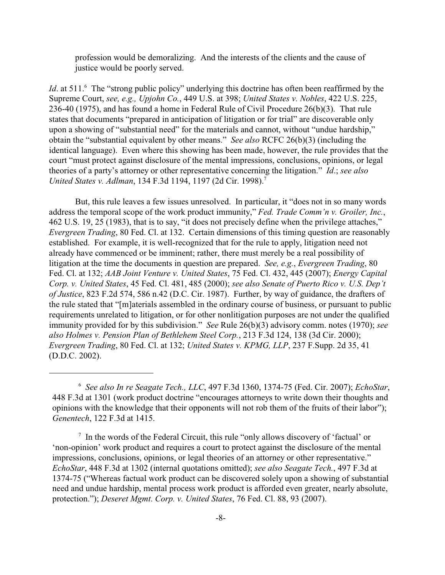profession would be demoralizing. And the interests of the clients and the cause of justice would be poorly served.

*Id*. at 511.<sup>6</sup> The "strong public policy" underlying this doctrine has often been reaffirmed by the Supreme Court, *see, e.g., Upjohn Co.*, 449 U.S. at 398; *United States v. Nobles*, 422 U.S. 225, 236-40 (1975), and has found a home in Federal Rule of Civil Procedure 26(b)(3). That rule states that documents "prepared in anticipation of litigation or for trial" are discoverable only upon a showing of "substantial need" for the materials and cannot, without "undue hardship," obtain the "substantial equivalent by other means." *See also* RCFC 26(b)(3) (including the identical language). Even where this showing has been made, however, the rule provides that the court "must protect against disclosure of the mental impressions, conclusions, opinions, or legal theories of a party's attorney or other representative concerning the litigation." *Id*.; *see also United States v. Adlman*, 134 F.3d 1194, 1197 (2d Cir. 1998).<sup>7</sup>

But, this rule leaves a few issues unresolved. In particular, it "does not in so many words address the temporal scope of the work product immunity," *Fed. Trade Comm'n v. Groiler, Inc.*, 462 U.S. 19, 25 (1983), that is to say, "it does not precisely define when the privilege attaches," *Evergreen Trading*, 80 Fed. Cl. at 132. Certain dimensions of this timing question are reasonably established. For example, it is well-recognized that for the rule to apply, litigation need not already have commenced or be imminent; rather, there must merely be a real possibility of litigation at the time the documents in question are prepared. *See, e.g.*, *Evergreen Trading*, 80 Fed. Cl. at 132; *AAB Joint Venture v. United States*, 75 Fed. Cl. 432, 445 (2007); *Energy Capital Corp. v. United States*, 45 Fed. Cl. 481, 485 (2000); *see also Senate of Puerto Rico v. U.S. Dep't of Justice*, 823 F.2d 574, 586 n.42 (D.C. Cir. 1987). Further, by way of guidance, the drafters of the rule stated that "[m]aterials assembled in the ordinary course of business, or pursuant to public requirements unrelated to litigation, or for other nonlitigation purposes are not under the qualified immunity provided for by this subdivision." *See* Rule 26(b)(3) advisory comm. notes (1970); *see also Holmes v. Pension Plan of Bethlehem Steel Corp.*, 213 F.3d 124, 138 (3d Cir. 2000); *Evergreen Trading*, 80 Fed. Cl. at 132; *United States v. KPMG, LLP*, 237 F.Supp. 2d 35, 41 (D.D.C. 2002).

*See also In re Seagate Tech., LLC*, 497 F.3d 1360, 1374-75 (Fed. Cir. 2007); *EchoStar*, 6 448 F.3d at 1301 (work product doctrine "encourages attorneys to write down their thoughts and opinions with the knowledge that their opponents will not rob them of the fruits of their labor"); *Genentech*, 122 F.3d at 1415.

 $\frac{1}{2}$  In the words of the Federal Circuit, this rule "only allows discovery of 'factual' or 'non-opinion' work product and requires a court to protect against the disclosure of the mental impressions, conclusions, opinions, or legal theories of an attorney or other representative." *EchoStar*, 448 F.3d at 1302 (internal quotations omitted); *see also Seagate Tech.*, 497 F.3d at 1374-75 ("Whereas factual work product can be discovered solely upon a showing of substantial need and undue hardship, mental process work product is afforded even greater, nearly absolute, protection."); *Deseret Mgmt*. *Corp. v. United States*, 76 Fed. Cl. 88, 93 (2007).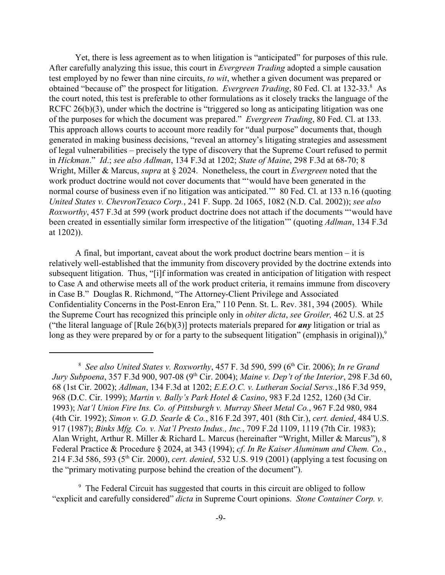Yet, there is less agreement as to when litigation is "anticipated" for purposes of this rule. After carefully analyzing this issue, this court in *Evergreen Trading* adopted a simple causation test employed by no fewer than nine circuits, *to wit*, whether a given document was prepared or obtained "because of" the prospect for litigation. *Evergreen Trading*, 80 Fed. Cl. at 132-33.<sup>8</sup> As the court noted, this test is preferable to other formulations as it closely tracks the language of the RCFC 26(b)(3), under which the doctrine is "triggered so long as anticipating litigation was one of the purposes for which the document was prepared." *Evergreen Trading*, 80 Fed. Cl. at 133. This approach allows courts to account more readily for "dual purpose" documents that, though generated in making business decisions, "reveal an attorney's litigating strategies and assessment of legal vulnerabilities – precisely the type of discovery that the Supreme Court refused to permit in *Hickman*." *Id*.; *see also Adlman*, 134 F.3d at 1202; *State of Maine*, 298 F.3d at 68-70; 8 Wright, Miller & Marcus, *supra* at § 2024. Nonetheless, the court in *Evergreen* noted that the work product doctrine would not cover documents that "'would have been generated in the normal course of business even if no litigation was anticipated.'" 80 Fed. Cl. at 133 n.16 (quoting *United States v. ChevronTexaco Corp.*, 241 F. Supp. 2d 1065, 1082 (N.D. Cal. 2002)); *see also Roxworthy*, 457 F.3d at 599 (work product doctrine does not attach if the documents "'would have been created in essentially similar form irrespective of the litigation'" (quoting *Adlman*, 134 F.3d at 1202)).

A final, but important, caveat about the work product doctrine bears mention – it is relatively well-established that the immunity from discovery provided by the doctrine extends into subsequent litigation. Thus, "[i]f information was created in anticipation of litigation with respect to Case A and otherwise meets all of the work product criteria, it remains immune from discovery in Case B." Douglas R. Richmond, "The Attorney-Client Privilege and Associated Confidentiality Concerns in the Post-Enron Era," 110 Penn. St. L. Rev. 381, 394 (2005). While the Supreme Court has recognized this principle only in *obiter dicta*, *see Groiler,* 462 U.S. at 25 ("the literal language of [Rule 26(b)(3)] protects materials prepared for *any* litigation or trial as long as they were prepared by or for a party to the subsequent litigation" (emphasis in original)),<sup>9</sup>

<sup>&</sup>lt;sup>8</sup> See also United States v. Roxworthy, 457 F. 3d 590, 599 (6<sup>th</sup> Cir. 2006); *In re Grand Jury Subpoena*, 357 F.3d 900, 907-08 (9<sup>th</sup> Cir. 2004); *Maine v. Dep't of the Interior*, 298 F.3d 60, 68 (1st Cir. 2002); *Adlman*, 134 F.3d at 1202; *E.E.O.C. v. Lutheran Social Servs.*,186 F.3d 959, 968 (D.C. Cir. 1999); *Martin v. Bally's Park Hotel & Casino*, 983 F.2d 1252, 1260 (3d Cir. 1993); *Nat'l Union Fire Ins. Co. of Pittsburgh v. Murray Sheet Metal Co.*, 967 F.2d 980, 984 (4th Cir. 1992); *Simon v. G.D. Searle & Co.*, 816 F.2d 397, 401 (8th Cir.), *cert. denied*, 484 U.S. 917 (1987); *Binks Mfg. Co. v. Nat'l Presto Indus., Inc.*, 709 F.2d 1109, 1119 (7th Cir. 1983); Alan Wright, Arthur R. Miller & Richard L. Marcus (hereinafter "Wright, Miller & Marcus"), 8 Federal Practice & Procedure § 2024, at 343 (1994); *cf*. *In Re Kaiser Aluminum and Chem. Co.*, 214 F.3d 586, 593 (5<sup>th</sup> Cir. 2000), *cert. denied*, 532 U.S. 919 (2001) (applying a test focusing on the "primary motivating purpose behind the creation of the document").

<sup>&</sup>lt;sup>9</sup> The Federal Circuit has suggested that courts in this circuit are obliged to follow "explicit and carefully considered" *dicta* in Supreme Court opinions. *Stone Container Corp. v.*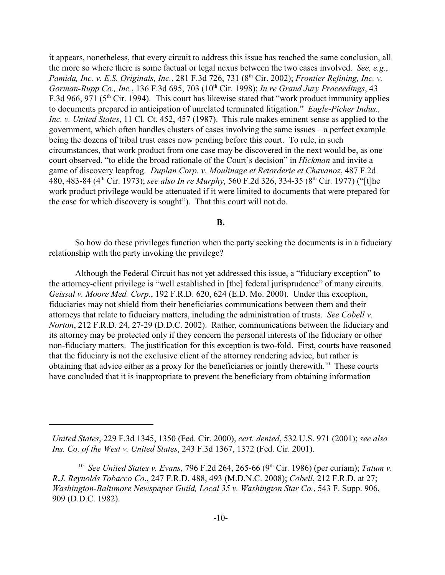it appears, nonetheless, that every circuit to address this issue has reached the same conclusion, all the more so where there is some factual or legal nexus between the two cases involved. *See, e.g.*, Pamida, Inc. v. E.S. Originals, Inc., 281 F.3d 726, 731 (8<sup>th</sup> Cir. 2002); *Frontier Refining, Inc. v. Gorman-Rupp Co., Inc.*, 136 F.3d 695, 703 (10<sup>th</sup> Cir. 1998); *In re Grand Jury Proceedings*, 43 F.3d 966, 971 ( $5<sup>th</sup>$  Cir. 1994). This court has likewise stated that "work product immunity applies to documents prepared in anticipation of unrelated terminated litigation." *Eagle-Picher Indus., Inc. v. United States*, 11 Cl. Ct. 452, 457 (1987). This rule makes eminent sense as applied to the government, which often handles clusters of cases involving the same issues – a perfect example being the dozens of tribal trust cases now pending before this court. To rule, in such circumstances, that work product from one case may be discovered in the next would be, as one court observed, "to elide the broad rationale of the Court's decision" in *Hickman* and invite a game of discovery leapfrog. *Duplan Corp. v. Moulinage et Retorderie et Chavanoz*, 487 F.2d 480, 483-84 (4<sup>th</sup> Cir. 1973); *see also In re Murphy*, 560 F.2d 326, 334-35 (8<sup>th</sup> Cir. 1977) ("[t]he work product privilege would be attenuated if it were limited to documents that were prepared for the case for which discovery is sought"). That this court will not do.

#### **B.**

So how do these privileges function when the party seeking the documents is in a fiduciary relationship with the party invoking the privilege?

Although the Federal Circuit has not yet addressed this issue, a "fiduciary exception" to the attorney-client privilege is "well established in [the] federal jurisprudence" of many circuits. *Geissal v. Moore Med. Corp.*, 192 F.R.D. 620, 624 (E.D. Mo. 2000). Under this exception, fiduciaries may not shield from their beneficiaries communications between them and their attorneys that relate to fiduciary matters, including the administration of trusts. *See Cobell v. Norton*, 212 F.R.D. 24, 27-29 (D.D.C. 2002). Rather, communications between the fiduciary and its attorney may be protected only if they concern the personal interests of the fiduciary or other non-fiduciary matters. The justification for this exception is two-fold. First, courts have reasoned that the fiduciary is not the exclusive client of the attorney rendering advice, but rather is obtaining that advice either as a proxy for the beneficiaries or jointly therewith.<sup>10</sup> These courts have concluded that it is inappropriate to prevent the beneficiary from obtaining information

*United States*, 229 F.3d 1345, 1350 (Fed. Cir. 2000), *cert. denied*, 532 U.S. 971 (2001); *see also Ins. Co. of the West v. United States*, 243 F.3d 1367, 1372 (Fed. Cir. 2001).

<sup>&</sup>lt;sup>10</sup> See United States v. Evans, 796 F.2d 264, 265-66 (9<sup>th</sup> Cir. 1986) (per curiam); *Tatum v. R.J. Reynolds Tobacco Co*., 247 F.R.D. 488, 493 (M.D.N.C. 2008); *Cobell*, 212 F.R.D. at 27; *Washington-Baltimore Newspaper Guild, Local 35 v. Washington Star Co.*, 543 F. Supp. 906, 909 (D.D.C. 1982).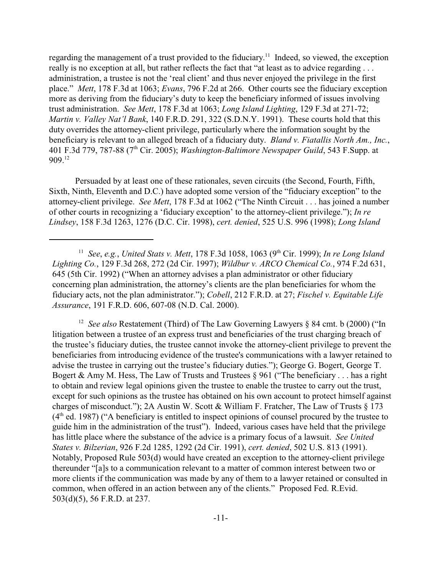regarding the management of a trust provided to the fiduciary.<sup>11</sup> Indeed, so viewed, the exception really is no exception at all, but rather reflects the fact that "at least as to advice regarding . . . administration, a trustee is not the 'real client' and thus never enjoyed the privilege in the first place." *Mett*, 178 F.3d at 1063; *Evans*, 796 F.2d at 266. Other courts see the fiduciary exception more as deriving from the fiduciary's duty to keep the beneficiary informed of issues involving trust administration. *See Mett*, 178 F.3d at 1063; *Long Island Lighting*, 129 F.3d at 271-72; *Martin v. Valley Nat'l Bank*, 140 F.R.D. 291, 322 (S.D.N.Y. 1991). These courts hold that this duty overrides the attorney-client privilege, particularly where the information sought by the beneficiary is relevant to an alleged breach of a fiduciary duty. *Bland v. Fiatallis North Am., Inc.*, 401 F.3d 779, 787-88 (7<sup>th</sup> Cir. 2005); *Washington-Baltimore Newspaper Guild*, 543 F.Supp. at  $909.<sup>12</sup>$ 

Persuaded by at least one of these rationales, seven circuits (the Second, Fourth, Fifth, Sixth, Ninth, Eleventh and D.C.) have adopted some version of the "fiduciary exception" to the attorney-client privilege. *See Mett*, 178 F.3d at 1062 ("The Ninth Circuit . . . has joined a number of other courts in recognizing a 'fiduciary exception' to the attorney-client privilege."); *In re Lindsey*, 158 F.3d 1263, 1276 (D.C. Cir. 1998), *cert. denied*, 525 U.S. 996 (1998); *Long Island*

<sup>12</sup> See also Restatement (Third) of The Law Governing Lawyers § 84 cmt. b (2000) ("In litigation between a trustee of an express trust and beneficiaries of the trust charging breach of the trustee's fiduciary duties, the trustee cannot invoke the attorney-client privilege to prevent the beneficiaries from introducing evidence of the trustee's communications with a lawyer retained to advise the trustee in carrying out the trustee's fiduciary duties."); George G. Bogert, George T. Bogert & Amy M. Hess, The Law of Trusts and Trustees  $\S$  961 ("The beneficiary . . . has a right to obtain and review legal opinions given the trustee to enable the trustee to carry out the trust, except for such opinions as the trustee has obtained on his own account to protect himself against charges of misconduct."); 2A Austin W. Scott & William F. Fratcher, The Law of Trusts § 173  $(4<sup>th</sup>$  ed. 1987) ("A beneficiary is entitled to inspect opinions of counsel procured by the trustee to guide him in the administration of the trust"). Indeed, various cases have held that the privilege has little place where the substance of the advice is a primary focus of a lawsuit. *See United States v. Bilzerian*, 926 F.2d 1285, 1292 (2d Cir. 1991), *cert. denied*, 502 U.S. 813 (1991). Notably, Proposed Rule 503(d) would have created an exception to the attorney-client privilege thereunder "[a]s to a communication relevant to a matter of common interest between two or more clients if the communication was made by any of them to a lawyer retained or consulted in common, when offered in an action between any of the clients." Proposed Fed. R.Evid. 503(d)(5), 56 F.R.D. at 237.

<sup>&</sup>lt;sup>11</sup> See, e.g., *United Stats v. Mett*, 178 F.3d 1058, 1063 (9<sup>th</sup> Cir. 1999); *In re Long Island Lighting Co.*, 129 F.3d 268, 272 (2d Cir. 1997); *Wildbur v. ARCO Chemical Co.*, 974 F.2d 631, 645 (5th Cir. 1992) ("When an attorney advises a plan administrator or other fiduciary concerning plan administration, the attorney's clients are the plan beneficiaries for whom the fiduciary acts, not the plan administrator."); *Cobell*, 212 F.R.D. at 27; *Fischel v. Equitable Life Assurance*, 191 F.R.D. 606, 607-08 (N.D. Cal. 2000).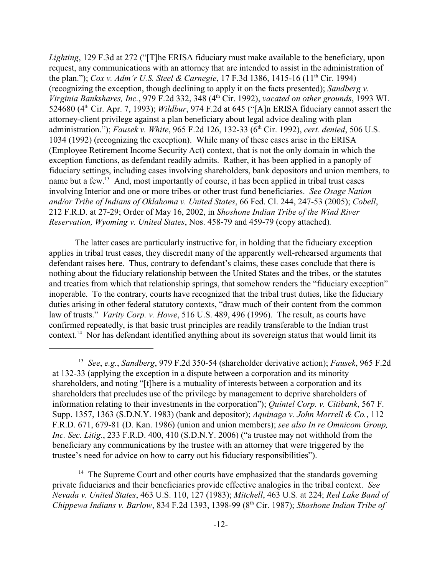*Lighting*, 129 F.3d at 272 ("[T]he ERISA fiduciary must make available to the beneficiary, upon request, any communications with an attorney that are intended to assist in the administration of the plan."); *Cox v. Adm'r U.S. Steel & Carnegie*, 17 F.3d 1386, 1415-16 (11<sup>th</sup> Cir. 1994) (recognizing the exception, though declining to apply it on the facts presented); *Sandberg v. Virginia Bankshares, Inc., 979 F.2d 332, 348 (4<sup>th</sup> Cir. 1992), <i>vacated on other grounds*, 1993 WL 524680 (4<sup>th</sup> Cir. Apr. 7, 1993); *Wildbur*, 974 F.2d at 645 ("[A]n ERISA fiduciary cannot assert the attorney-client privilege against a plan beneficiary about legal advice dealing with plan administration."); *Fausek v. White*, 965 F.2d 126, 132-33 (6<sup>th</sup> Cir. 1992), *cert. denied*, 506 U.S. 1034 (1992) (recognizing the exception). While many of these cases arise in the ERISA (Employee Retirement Income Security Act) context, that is not the only domain in which the exception functions, as defendant readily admits. Rather, it has been applied in a panoply of fiduciary settings, including cases involving shareholders, bank depositors and union members, to name but a few. $\frac{13}{13}$  And, most importantly of course, it has been applied in tribal trust cases involving Interior and one or more tribes or other trust fund beneficiaries. *See Osage Nation and/or Tribe of Indians of Oklahoma v. United States*, 66 Fed. Cl. 244, 247-53 (2005); *Cobell*, 212 F.R.D. at 27-29; Order of May 16, 2002, in *Shoshone Indian Tribe of the Wind River Reservation, Wyoming v. United States*, Nos. 458-79 and 459-79 (copy attached)*.*

The latter cases are particularly instructive for, in holding that the fiduciary exception applies in tribal trust cases, they discredit many of the apparently well-rehearsed arguments that defendant raises here. Thus, contrary to defendant's claims, these cases conclude that there is nothing about the fiduciary relationship between the United States and the tribes, or the statutes and treaties from which that relationship springs, that somehow renders the "fiduciary exception" inoperable. To the contrary, courts have recognized that the tribal trust duties, like the fiduciary duties arising in other federal statutory contexts, "draw much of their content from the common law of trusts." *Varity Corp. v. Howe*, 516 U.S. 489, 496 (1996). The result, as courts have confirmed repeatedly, is that basic trust principles are readily transferable to the Indian trust context.<sup>14</sup> Nor has defendant identified anything about its sovereign status that would limit its

<sup>&</sup>lt;sup>13</sup> See, e.g., *Sandberg*, 979 F.2d 350-54 (shareholder derivative action); *Fausek*, 965 F.2d at 132-33 (applying the exception in a dispute between a corporation and its minority shareholders, and noting "[t]here is a mutuality of interests between a corporation and its shareholders that precludes use of the privilege by management to deprive shareholders of information relating to their investments in the corporation"); *Quintel Corp. v. Citibank*, 567 F. Supp. 1357, 1363 (S.D.N.Y. 1983) (bank and depositor); *Aquinaga v. John Morrell & Co.*, 112 F.R.D. 671, 679-81 (D. Kan. 1986) (union and union members); *see also In re Omnicom Group, Inc. Sec. Litig.*, 233 F.R.D. 400, 410 (S.D.N.Y. 2006) ("a trustee may not withhold from the beneficiary any communications by the trustee with an attorney that were triggered by the trustee's need for advice on how to carry out his fiduciary responsibilities").

 $14$  The Supreme Court and other courts have emphasized that the standards governing private fiduciaries and their beneficiaries provide effective analogies in the tribal context. *See Nevada v. United States*, 463 U.S. 110, 127 (1983); *Mitchell*, 463 U.S. at 224; *Red Lake Band of Chippewa Indians v. Barlow, 834 F.2d 1393, 1398-99 (8<sup>th</sup> Cir. 1987); <i>Shoshone Indian Tribe of*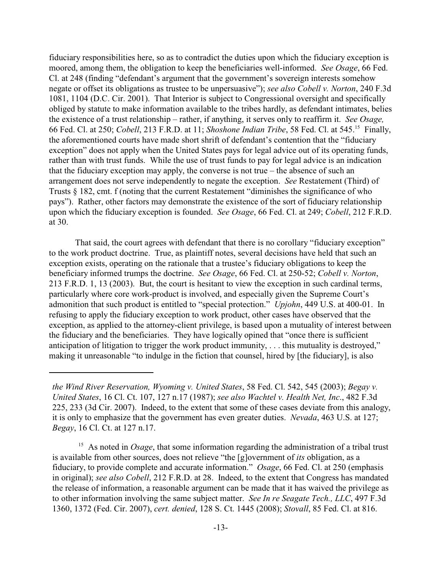fiduciary responsibilities here, so as to contradict the duties upon which the fiduciary exception is moored, among them, the obligation to keep the beneficiaries well-informed. *See Osage*, 66 Fed. Cl. at 248 (finding "defendant's argument that the government's sovereign interests somehow negate or offset its obligations as trustee to be unpersuasive"); *see also Cobell v. Norton*, 240 F.3d 1081, 1104 (D.C. Cir. 2001). That Interior is subject to Congressional oversight and specifically obliged by statute to make information available to the tribes hardly, as defendant intimates, belies the existence of a trust relationship – rather, if anything, it serves only to reaffirm it. *See Osage,* 66 Fed. Cl. at 250; *Cobell*, 213 F.R.D. at 11; *Shoshone Indian Tribe*, 58 Fed. Cl. at 545. Finally, <sup>15</sup> the aforementioned courts have made short shrift of defendant's contention that the "fiduciary exception" does not apply when the United States pays for legal advice out of its operating funds, rather than with trust funds. While the use of trust funds to pay for legal advice is an indication that the fiduciary exception may apply, the converse is not true – the absence of such an arrangement does not serve independently to negate the exception. *See* Restatement (Third) of Trusts § 182, cmt. f (noting that the current Restatement "diminishes the significance of who pays"). Rather, other factors may demonstrate the existence of the sort of fiduciary relationship upon which the fiduciary exception is founded. *See Osage*, 66 Fed. Cl. at 249; *Cobell*, 212 F.R.D. at 30.

That said, the court agrees with defendant that there is no corollary "fiduciary exception" to the work product doctrine. True, as plaintiff notes, several decisions have held that such an exception exists, operating on the rationale that a trustee's fiduciary obligations to keep the beneficiary informed trumps the doctrine. *See Osage*, 66 Fed. Cl. at 250-52; *Cobell v. Norton*, 213 F.R.D. 1, 13 (2003). But, the court is hesitant to view the exception in such cardinal terms, particularly where core work-product is involved, and especially given the Supreme Court's admonition that such product is entitled to "special protection." *Upjohn*, 449 U.S. at 400-01. In refusing to apply the fiduciary exception to work product, other cases have observed that the exception, as applied to the attorney-client privilege, is based upon a mutuality of interest between the fiduciary and the beneficiaries. They have logically opined that "once there is sufficient anticipation of litigation to trigger the work product immunity, . . . this mutuality is destroyed," making it unreasonable "to indulge in the fiction that counsel, hired by [the fiduciary], is also

*the Wind River Reservation, Wyoming v. United States*, 58 Fed. Cl. 542, 545 (2003); *Begay v. United States*, 16 Cl. Ct. 107, 127 n.17 (1987); *see also Wachtel v. Health Net, Inc*., 482 F.3d 225, 233 (3d Cir. 2007). Indeed, to the extent that some of these cases deviate from this analogy, it is only to emphasize that the government has even greater duties. *Nevada*, 463 U.S. at 127; *Begay*, 16 Cl. Ct. at 127 n.17.

<sup>&</sup>lt;sup>15</sup> As noted in *Osage*, that some information regarding the administration of a tribal trust is available from other sources, does not relieve "the [g]overnment of *its* obligation, as a fiduciary, to provide complete and accurate information." *Osage*, 66 Fed. Cl. at 250 (emphasis in original); *see also Cobell*, 212 F.R.D. at 28. Indeed, to the extent that Congress has mandated the release of information, a reasonable argument can be made that it has waived the privilege as to other information involving the same subject matter. *See In re Seagate Tech., LLC*, 497 F.3d 1360, 1372 (Fed. Cir. 2007), *cert. denied*, 128 S. Ct. 1445 (2008); *Stovall*, 85 Fed. Cl. at 816.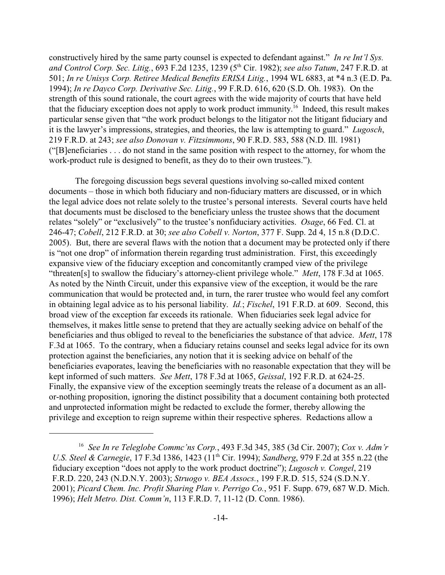constructively hired by the same party counsel is expected to defendant against." *In re Int'l Sys.* and Control Corp. Sec. Litig., 693 F.2d 1235, 1239 (5<sup>th</sup> Cir. 1982); see also Tatum, 247 F.R.D. at 501; *In re Unisys Corp. Retiree Medical Benefits ERISA Litig.*, 1994 WL 6883, at \*4 n.3 (E.D. Pa. 1994); *In re Dayco Corp. Derivative Sec. Litig.*, 99 F.R.D. 616, 620 (S.D. Oh. 1983). On the strength of this sound rationale, the court agrees with the wide majority of courts that have held that the fiduciary exception does not apply to work product immunity.<sup>16</sup> Indeed, this result makes particular sense given that "the work product belongs to the litigator not the litigant fiduciary and it is the lawyer's impressions, strategies, and theories, the law is attempting to guard." *Lugosch*, 219 F.R.D. at 243; *see also Donovan v. Fitzsimmons*, 90 F.R.D. 583, 588 (N.D. Ill. 1981) ("[B]eneficiaries . . . do not stand in the same position with respect to the attorney, for whom the work-product rule is designed to benefit, as they do to their own trustees.").

The foregoing discussion begs several questions involving so-called mixed content documents – those in which both fiduciary and non-fiduciary matters are discussed, or in which the legal advice does not relate solely to the trustee's personal interests. Several courts have held that documents must be disclosed to the beneficiary unless the trustee shows that the document relates "solely" or "exclusively" to the trustee's nonfiduciary activities. *Osage*, 66 Fed. Cl. at 246-47; *Cobell*, 212 F.R.D. at 30; *see also Cobell v. Norton*, 377 F. Supp. 2d 4, 15 n.8 (D.D.C. 2005). But, there are several flaws with the notion that a document may be protected only if there is "not one drop" of information therein regarding trust administration. First, this exceedingly expansive view of the fiduciary exception and concomitantly cramped view of the privilege "threaten[s] to swallow the fiduciary's attorney-client privilege whole." *Mett*, 178 F.3d at 1065. As noted by the Ninth Circuit, under this expansive view of the exception, it would be the rare communication that would be protected and, in turn, the rarer trustee who would feel any comfort in obtaining legal advice as to his personal liability. *Id.*; *Fischel*, 191 F.R.D. at 609. Second, this broad view of the exception far exceeds its rationale. When fiduciaries seek legal advice for themselves, it makes little sense to pretend that they are actually seeking advice on behalf of the beneficiaries and thus obliged to reveal to the beneficiaries the substance of that advice. *Mett*, 178 F.3d at 1065. To the contrary, when a fiduciary retains counsel and seeks legal advice for its own protection against the beneficiaries, any notion that it is seeking advice on behalf of the beneficiaries evaporates, leaving the beneficiaries with no reasonable expectation that they will be kept informed of such matters. *See Mett*, 178 F.3d at 1065, *Geissal*, 192 F.R.D. at 624-25. Finally, the expansive view of the exception seemingly treats the release of a document as an allor-nothing proposition, ignoring the distinct possibility that a document containing both protected and unprotected information might be redacted to exclude the former, thereby allowing the privilege and exception to reign supreme within their respective spheres. Redactions allow a

*See In re Teleglobe Commc'ns Corp.*, 493 F.3d 345, 385 (3d Cir. 2007); *Cox v. Adm'r* 16 *U.S. Steel & Carnegie*, 17 F.3d 1386, 1423 (11<sup>th</sup> Cir. 1994); *Sandberg*, 979 F.2d at 355 n.22 (the fiduciary exception "does not apply to the work product doctrine"); *Lugosch v. Congel*, 219 F.R.D. 220, 243 (N.D.N.Y. 2003); *Struogo v. BEA Assocs.*, 199 F.R.D. 515, 524 (S.D.N.Y. 2001); *Picard Chem. Inc. Profit Sharing Plan v. Perrigo Co.*, 951 F. Supp. 679, 687 W.D. Mich. 1996); *Helt Metro. Dist. Comm'n*, 113 F.R.D. 7, 11-12 (D. Conn. 1986).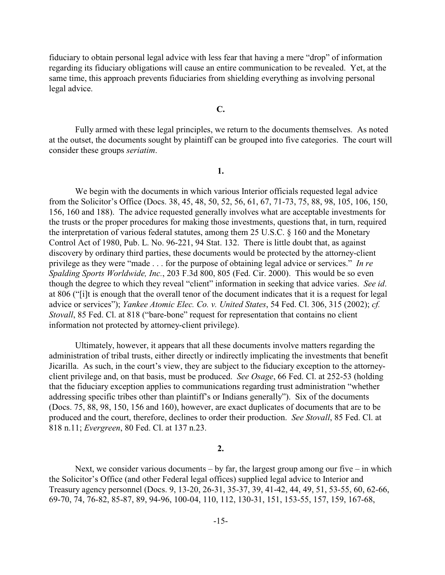fiduciary to obtain personal legal advice with less fear that having a mere "drop" of information regarding its fiduciary obligations will cause an entire communication to be revealed. Yet, at the same time, this approach prevents fiduciaries from shielding everything as involving personal legal advice.

#### **C.**

Fully armed with these legal principles, we return to the documents themselves. As noted at the outset, the documents sought by plaintiff can be grouped into five categories. The court will consider these groups *seriatim*.

**1.**

We begin with the documents in which various Interior officials requested legal advice from the Solicitor's Office (Docs. 38, 45, 48, 50, 52, 56, 61, 67, 71-73, 75, 88, 98, 105, 106, 150, 156, 160 and 188). The advice requested generally involves what are acceptable investments for the trusts or the proper procedures for making those investments, questions that, in turn, required the interpretation of various federal statutes, among them 25 U.S.C. § 160 and the Monetary Control Act of 1980, Pub. L. No. 96-221, 94 Stat. 132. There is little doubt that, as against discovery by ordinary third parties, these documents would be protected by the attorney-client privilege as they were "made . . . for the purpose of obtaining legal advice or services." *In re Spalding Sports Worldwide, Inc.*, 203 F.3d 800, 805 (Fed. Cir. 2000). This would be so even though the degree to which they reveal "client" information in seeking that advice varies. *See id*. at 806 ("[i]t is enough that the overall tenor of the document indicates that it is a request for legal advice or services"); *Yankee Atomic Elec. Co. v. United States*, 54 Fed. Cl. 306, 315 (2002); *cf. Stovall*, 85 Fed. Cl. at 818 ("bare-bone" request for representation that contains no client information not protected by attorney-client privilege).

Ultimately, however, it appears that all these documents involve matters regarding the administration of tribal trusts, either directly or indirectly implicating the investments that benefit Jicarilla. As such, in the court's view, they are subject to the fiduciary exception to the attorneyclient privilege and, on that basis, must be produced. *See Osage*, 66 Fed. Cl. at 252-53 (holding that the fiduciary exception applies to communications regarding trust administration "whether addressing specific tribes other than plaintiff's or Indians generally").Six of the documents (Docs. 75, 88, 98, 150, 156 and 160), however, are exact duplicates of documents that are to be produced and the court, therefore, declines to order their production. *See Stovall*, 85 Fed. Cl. at 818 n.11; *Evergreen*, 80 Fed. Cl. at 137 n.23.

#### **2.**

Next, we consider various documents – by far, the largest group among our five – in which the Solicitor's Office (and other Federal legal offices) supplied legal advice to Interior and Treasury agency personnel (Docs. 9, 13-20, 26-31, 35-37, 39, 41-42, 44, 49, 51, 53-55, 60, 62-66, 69-70, 74, 76-82, 85-87, 89, 94-96, 100-04, 110, 112, 130-31, 151, 153-55, 157, 159, 167-68,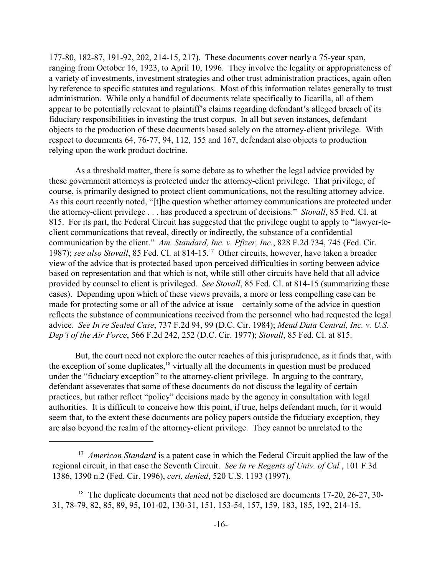177-80, 182-87, 191-92, 202, 214-15, 217). These documents cover nearly a 75-year span, ranging from October 16, 1923, to April 10, 1996. They involve the legality or appropriateness of a variety of investments, investment strategies and other trust administration practices, again often by reference to specific statutes and regulations. Most of this information relates generally to trust administration. While only a handful of documents relate specifically to Jicarilla, all of them appear to be potentially relevant to plaintiff's claims regarding defendant's alleged breach of its fiduciary responsibilities in investing the trust corpus. In all but seven instances, defendant objects to the production of these documents based solely on the attorney-client privilege. With respect to documents 64, 76-77, 94, 112, 155 and 167, defendant also objects to production relying upon the work product doctrine.

As a threshold matter, there is some debate as to whether the legal advice provided by these government attorneys is protected under the attorney-client privilege. That privilege, of course, is primarily designed to protect client communications, not the resulting attorney advice. As this court recently noted, "[t]he question whether attorney communications are protected under the attorney-client privilege . . . has produced a spectrum of decisions." *Stovall*, 85 Fed. Cl. at 815. For its part, the Federal Circuit has suggested that the privilege ought to apply to "lawyer-toclient communications that reveal, directly or indirectly, the substance of a confidential communication by the client." *Am. Standard, Inc. v. Pfizer, Inc.*, 828 F.2d 734, 745 (Fed. Cir. 1987); see also Stovall, 85 Fed. Cl. at 814-15.<sup>17</sup> Other circuits, however, have taken a broader view of the advice that is protected based upon perceived difficulties in sorting between advice based on representation and that which is not, while still other circuits have held that all advice provided by counsel to client is privileged. *See Stovall*, 85 Fed. Cl. at 814-15 (summarizing these cases). Depending upon which of these views prevails, a more or less compelling case can be made for protecting some or all of the advice at issue – certainly some of the advice in question reflects the substance of communications received from the personnel who had requested the legal advice. *See In re Sealed Case*, 737 F.2d 94, 99 (D.C. Cir. 1984); *Mead Data Central, Inc. v. U.S. Dep't of the Air Force*, 566 F.2d 242, 252 (D.C. Cir. 1977); *Stovall*, 85 Fed. Cl. at 815.

But, the court need not explore the outer reaches of this jurisprudence, as it finds that, with the exception of some duplicates,<sup>18</sup> virtually all the documents in question must be produced under the "fiduciary exception" to the attorney-client privilege. In arguing to the contrary, defendant asseverates that some of these documents do not discuss the legality of certain practices, but rather reflect "policy" decisions made by the agency in consultation with legal authorities. It is difficult to conceive how this point, if true, helps defendant much, for it would seem that, to the extent these documents are policy papers outside the fiduciary exception, they are also beyond the realm of the attorney-client privilege. They cannot be unrelated to the

<sup>&</sup>lt;sup>17</sup> American Standard is a patent case in which the Federal Circuit applied the law of the regional circuit, in that case the Seventh Circuit. *See In re Regents of Univ. of Cal.*, 101 F.3d 1386, 1390 n.2 (Fed. Cir. 1996), *cert. denied*, 520 U.S. 1193 (1997).

 $18$  The duplicate documents that need not be disclosed are documents 17-20, 26-27, 30-31, 78-79, 82, 85, 89, 95, 101-02, 130-31, 151, 153-54, 157, 159, 183, 185, 192, 214-15.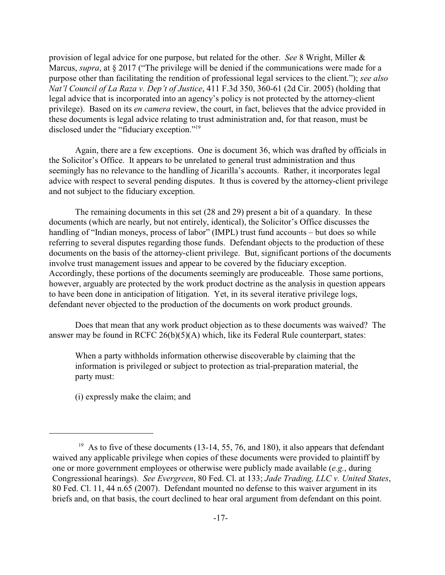provision of legal advice for one purpose, but related for the other. *See* 8 Wright, Miller & Marcus, *supra*, at § 2017 ("The privilege will be denied if the communications were made for a purpose other than facilitating the rendition of professional legal services to the client."); *see also Nat'l Council of La Raza v. Dep't of Justice*, 411 F.3d 350, 360-61 (2d Cir. 2005) (holding that legal advice that is incorporated into an agency's policy is not protected by the attorney-client privilege). Based on its *en camera* review, the court, in fact, believes that the advice provided in these documents is legal advice relating to trust administration and, for that reason, must be disclosed under the "fiduciary exception."<sup>19</sup>

Again, there are a few exceptions. One is document 36, which was drafted by officials in the Solicitor's Office. It appears to be unrelated to general trust administration and thus seemingly has no relevance to the handling of Jicarilla's accounts. Rather, it incorporates legal advice with respect to several pending disputes. It thus is covered by the attorney-client privilege and not subject to the fiduciary exception.

The remaining documents in this set (28 and 29) present a bit of a quandary. In these documents (which are nearly, but not entirely, identical), the Solicitor's Office discusses the handling of "Indian moneys, process of labor" (IMPL) trust fund accounts – but does so while referring to several disputes regarding those funds. Defendant objects to the production of these documents on the basis of the attorney-client privilege. But, significant portions of the documents involve trust management issues and appear to be covered by the fiduciary exception. Accordingly, these portions of the documents seemingly are produceable. Those same portions, however, arguably are protected by the work product doctrine as the analysis in question appears to have been done in anticipation of litigation. Yet, in its several iterative privilege logs, defendant never objected to the production of the documents on work product grounds.

Does that mean that any work product objection as to these documents was waived? The answer may be found in RCFC 26(b)(5)(A) which, like its Federal Rule counterpart, states:

When a party withholds information otherwise discoverable by claiming that the information is privileged or subject to protection as trial-preparation material, the party must:

(i) expressly make the claim; and

<sup>&</sup>lt;sup>19</sup> As to five of these documents (13-14, 55, 76, and 180), it also appears that defendant waived any applicable privilege when copies of these documents were provided to plaintiff by one or more government employees or otherwise were publicly made available (*e.g.*, during Congressional hearings). *See Evergreen*, 80 Fed. Cl. at 133; *Jade Trading, LLC v. United States*, 80 Fed. Cl. 11, 44 n.65 (2007). Defendant mounted no defense to this waiver argument in its briefs and, on that basis, the court declined to hear oral argument from defendant on this point.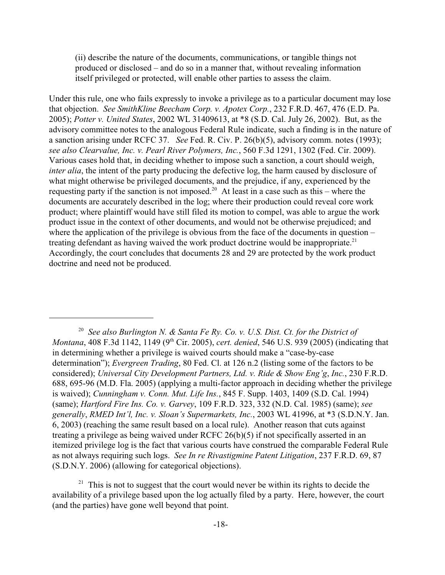(ii) describe the nature of the documents, communications, or tangible things not produced or disclosed – and do so in a manner that, without revealing information itself privileged or protected, will enable other parties to assess the claim.

Under this rule, one who fails expressly to invoke a privilege as to a particular document may lose that objection. *See SmithKline Beecham Corp. v. Apotex Corp.*, 232 F.R.D. 467, 476 (E.D. Pa. 2005); *Potter v. United States*, 2002 WL 31409613, at \*8 (S.D. Cal. July 26, 2002). But, as the advisory committee notes to the analogous Federal Rule indicate, such a finding is in the nature of a sanction arising under RCFC 37. *See* Fed. R. Civ. P. 26(b)(5), advisory comm. notes (1993); *see also Clearvalue, Inc. v. Pearl River Polymers, Inc.*, 560 F.3d 1291, 1302 (Fed. Cir. 2009). Various cases hold that, in deciding whether to impose such a sanction, a court should weigh, *inter alia*, the intent of the party producing the defective log, the harm caused by disclosure of what might otherwise be privileged documents, and the prejudice, if any, experienced by the requesting party if the sanction is not imposed.<sup>20</sup> At least in a case such as this – where the documents are accurately described in the log; where their production could reveal core work product; where plaintiff would have still filed its motion to compel, was able to argue the work product issue in the context of other documents, and would not be otherwise prejudiced; and where the application of the privilege is obvious from the face of the documents in question – treating defendant as having waived the work product doctrine would be inappropriate.<sup>21</sup> Accordingly, the court concludes that documents 28 and 29 are protected by the work product doctrine and need not be produced.

<sup>&</sup>lt;sup>20</sup> See also Burlington N. & Santa Fe Ry. Co. v. U.S. Dist. Ct. for the District of *Montana*, 408 F.3d 1142, 1149 (9<sup>th</sup> Cir. 2005), *cert. denied*, 546 U.S. 939 (2005) (indicating that in determining whether a privilege is waived courts should make a "case-by-case determination"); *Evergreen Trading*, 80 Fed. Cl. at 126 n.2 (listing some of the factors to be considered); *Universal City Development Partners, Ltd. v. Ride & Show Eng'g*, *Inc.*, 230 F.R.D. 688, 695-96 (M.D. Fla. 2005) (applying a multi-factor approach in deciding whether the privilege is waived); *Cunningham v. Conn. Mut. Life Ins.*, 845 F. Supp. 1403, 1409 (S.D. Cal. 1994) (same); *Hartford Fire Ins. Co. v. Garvey*, 109 F.R.D. 323, 332 (N.D. Cal. 1985) (same); *see generally*, *RMED Int'l, Inc. v. Sloan's Supermarkets, Inc.*, 2003 WL 41996, at \*3 (S.D.N.Y. Jan. 6, 2003) (reaching the same result based on a local rule). Another reason that cuts against treating a privilege as being waived under RCFC 26(b)(5) if not specifically asserted in an itemized privilege log is the fact that various courts have construed the comparable Federal Rule as not always requiring such logs. *See In re Rivastigmine Patent Litigation*, 237 F.R.D. 69, 87 (S.D.N.Y. 2006) (allowing for categorical objections).

 $21$  This is not to suggest that the court would never be within its rights to decide the availability of a privilege based upon the log actually filed by a party. Here, however, the court (and the parties) have gone well beyond that point.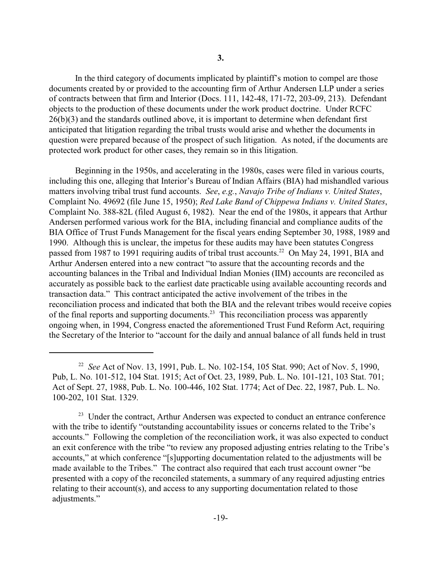In the third category of documents implicated by plaintiff's motion to compel are those documents created by or provided to the accounting firm of Arthur Andersen LLP under a series of contracts between that firm and Interior (Docs. 111, 142-48, 171-72, 203-09, 213). Defendant objects to the production of these documents under the work product doctrine. Under RCFC 26(b)(3) and the standards outlined above, it is important to determine when defendant first anticipated that litigation regarding the tribal trusts would arise and whether the documents in question were prepared because of the prospect of such litigation. As noted, if the documents are protected work product for other cases, they remain so in this litigation.

Beginning in the 1950s, and accelerating in the 1980s, cases were filed in various courts, including this one, alleging that Interior's Bureau of Indian Affairs (BIA) had mishandled various matters involving tribal trust fund accounts. *See*, *e.g.*, *Navajo Tribe of Indians v. United States*, Complaint No. 49692 (file June 15, 1950); *Red Lake Band of Chippewa Indians v. United States*, Complaint No. 388-82L (filed August 6, 1982). Near the end of the 1980s, it appears that Arthur Andersen performed various work for the BIA, including financial and compliance audits of the BIA Office of Trust Funds Management for the fiscal years ending September 30, 1988, 1989 and 1990. Although this is unclear, the impetus for these audits may have been statutes Congress passed from 1987 to 1991 requiring audits of tribal trust accounts.<sup>22</sup> On May 24, 1991, BIA and Arthur Andersen entered into a new contract "to assure that the accounting records and the accounting balances in the Tribal and Individual Indian Monies (IIM) accounts are reconciled as accurately as possible back to the earliest date practicable using available accounting records and transaction data." This contract anticipated the active involvement of the tribes in the reconciliation process and indicated that both the BIA and the relevant tribes would receive copies of the final reports and supporting documents.<sup>23</sup> This reconciliation process was apparently ongoing when, in 1994, Congress enacted the aforementioned Trust Fund Reform Act, requiring the Secretary of the Interior to "account for the daily and annual balance of all funds held in trust

<sup>&</sup>lt;sup>22</sup> See Act of Nov. 13, 1991, Pub. L. No. 102-154, 105 Stat. 990; Act of Nov. 5, 1990, Pub, L. No. 101-512, 104 Stat. 1915; Act of Oct. 23, 1989, Pub. L. No. 101-121, 103 Stat. 701; Act of Sept. 27, 1988, Pub. L. No. 100-446, 102 Stat. 1774; Act of Dec. 22, 1987, Pub. L. No. 100-202, 101 Stat. 1329.

<sup>&</sup>lt;sup>23</sup> Under the contract, Arthur Andersen was expected to conduct an entrance conference with the tribe to identify "outstanding accountability issues or concerns related to the Tribe's accounts." Following the completion of the reconciliation work, it was also expected to conduct an exit conference with the tribe "to review any proposed adjusting entries relating to the Tribe's accounts," at which conference "[s]upporting documentation related to the adjustments will be made available to the Tribes." The contract also required that each trust account owner "be presented with a copy of the reconciled statements, a summary of any required adjusting entries relating to their account(s), and access to any supporting documentation related to those adjustments."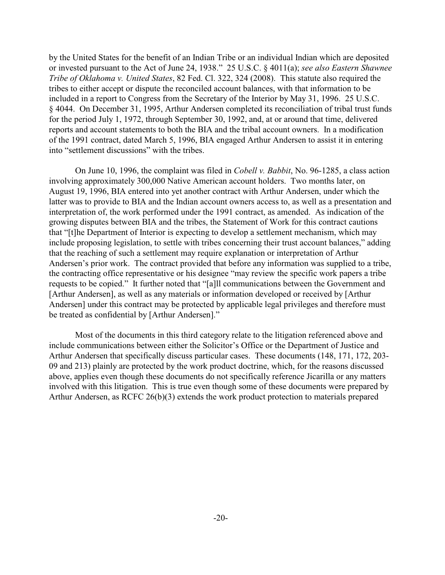by the United States for the benefit of an Indian Tribe or an individual Indian which are deposited or invested pursuant to the Act of June 24, 1938." 25 U.S.C. § 4011(a); *see also Eastern Shawnee Tribe of Oklahoma v. United States*, 82 Fed. Cl. 322, 324 (2008). This statute also required the tribes to either accept or dispute the reconciled account balances, with that information to be included in a report to Congress from the Secretary of the Interior by May 31, 1996. 25 U.S.C. § 4044. On December 31, 1995, Arthur Andersen completed its reconciliation of tribal trust funds for the period July 1, 1972, through September 30, 1992, and, at or around that time, delivered reports and account statements to both the BIA and the tribal account owners. In a modification of the 1991 contract, dated March 5, 1996, BIA engaged Arthur Andersen to assist it in entering into "settlement discussions" with the tribes.

On June 10, 1996, the complaint was filed in *Cobell v. Babbit*, No. 96-1285, a class action involving approximately 300,000 Native American account holders. Two months later, on August 19, 1996, BIA entered into yet another contract with Arthur Andersen, under which the latter was to provide to BIA and the Indian account owners access to, as well as a presentation and interpretation of, the work performed under the 1991 contract, as amended. As indication of the growing disputes between BIA and the tribes, the Statement of Work for this contract cautions that "[t]he Department of Interior is expecting to develop a settlement mechanism, which may include proposing legislation, to settle with tribes concerning their trust account balances," adding that the reaching of such a settlement may require explanation or interpretation of Arthur Andersen's prior work. The contract provided that before any information was supplied to a tribe, the contracting office representative or his designee "may review the specific work papers a tribe requests to be copied." It further noted that "[a]ll communications between the Government and [Arthur Andersen], as well as any materials or information developed or received by [Arthur Andersen] under this contract may be protected by applicable legal privileges and therefore must be treated as confidential by [Arthur Andersen]."

Most of the documents in this third category relate to the litigation referenced above and include communications between either the Solicitor's Office or the Department of Justice and Arthur Andersen that specifically discuss particular cases. These documents (148, 171, 172, 203- 09 and 213) plainly are protected by the work product doctrine, which, for the reasons discussed above, applies even though these documents do not specifically reference Jicarilla or any matters involved with this litigation. This is true even though some of these documents were prepared by Arthur Andersen, as RCFC 26(b)(3) extends the work product protection to materials prepared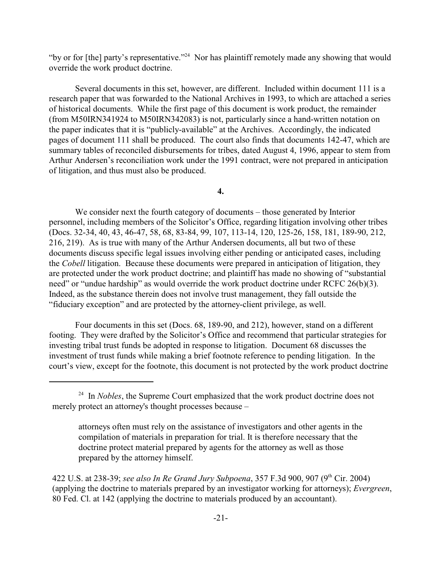"by or for [the] party's representative."<sup>24</sup> Nor has plaintiff remotely made any showing that would override the work product doctrine.

Several documents in this set, however, are different. Included within document 111 is a research paper that was forwarded to the National Archives in 1993, to which are attached a series of historical documents. While the first page of this document is work product, the remainder (from M50IRN341924 to M50IRN342083) is not, particularly since a hand-written notation on the paper indicates that it is "publicly-available" at the Archives. Accordingly, the indicated pages of document 111 shall be produced. The court also finds that documents 142-47, which are summary tables of reconciled disbursements for tribes, dated August 4, 1996, appear to stem from Arthur Andersen's reconciliation work under the 1991 contract, were not prepared in anticipation of litigation, and thus must also be produced.

**4.**

We consider next the fourth category of documents – those generated by Interior personnel, including members of the Solicitor's Office, regarding litigation involving other tribes (Docs. 32-34, 40, 43, 46-47, 58, 68, 83-84, 99, 107, 113-14, 120, 125-26, 158, 181, 189-90, 212, 216, 219). As is true with many of the Arthur Andersen documents, all but two of these documents discuss specific legal issues involving either pending or anticipated cases, including the *Cobell* litigation. Because these documents were prepared in anticipation of litigation, they are protected under the work product doctrine; and plaintiff has made no showing of "substantial need" or "undue hardship" as would override the work product doctrine under RCFC 26(b)(3). Indeed, as the substance therein does not involve trust management, they fall outside the "fiduciary exception" and are protected by the attorney-client privilege, as well.

Four documents in this set (Docs. 68, 189-90, and 212), however, stand on a different footing. They were drafted by the Solicitor's Office and recommend that particular strategies for investing tribal trust funds be adopted in response to litigation. Document 68 discusses the investment of trust funds while making a brief footnote reference to pending litigation. In the court's view, except for the footnote, this document is not protected by the work product doctrine

<sup>&</sup>lt;sup>24</sup> In *Nobles*, the Supreme Court emphasized that the work product doctrine does not merely protect an attorney's thought processes because –

attorneys often must rely on the assistance of investigators and other agents in the compilation of materials in preparation for trial. It is therefore necessary that the doctrine protect material prepared by agents for the attorney as well as those prepared by the attorney himself.

<sup>422</sup> U.S. at 238-39; *see also In Re Grand Jury Subpoena*, 357 F.3d 900, 907 (9<sup>th</sup> Cir. 2004) (applying the doctrine to materials prepared by an investigator working for attorneys); *Evergreen*, 80 Fed. Cl. at 142 (applying the doctrine to materials produced by an accountant).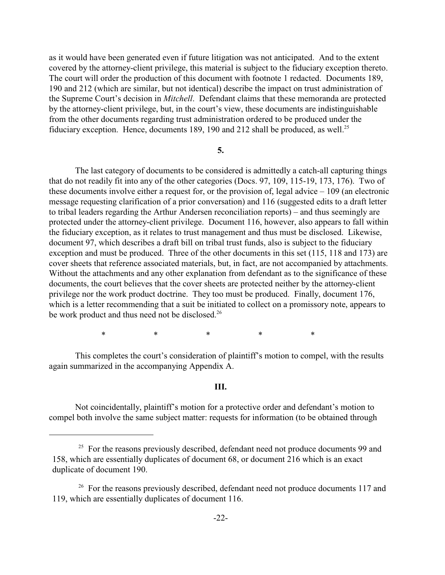as it would have been generated even if future litigation was not anticipated. And to the extent covered by the attorney-client privilege, this material is subject to the fiduciary exception thereto. The court will order the production of this document with footnote 1 redacted. Documents 189, 190 and 212 (which are similar, but not identical) describe the impact on trust administration of the Supreme Court's decision in *Mitchell*. Defendant claims that these memoranda are protected by the attorney-client privilege, but, in the court's view, these documents are indistinguishable from the other documents regarding trust administration ordered to be produced under the fiduciary exception. Hence, documents 189, 190 and 212 shall be produced, as well.<sup>25</sup>

#### **5.**

The last category of documents to be considered is admittedly a catch-all capturing things that do not readily fit into any of the other categories (Docs. 97, 109, 115-19, 173, 176). Two of these documents involve either a request for, or the provision of, legal advice – 109 (an electronic message requesting clarification of a prior conversation) and 116 (suggested edits to a draft letter to tribal leaders regarding the Arthur Andersen reconciliation reports) – and thus seemingly are protected under the attorney-client privilege. Document 116, however, also appears to fall within the fiduciary exception, as it relates to trust management and thus must be disclosed. Likewise, document 97, which describes a draft bill on tribal trust funds, also is subject to the fiduciary exception and must be produced. Three of the other documents in this set (115, 118 and 173) are cover sheets that reference associated materials, but, in fact, are not accompanied by attachments. Without the attachments and any other explanation from defendant as to the significance of these documents, the court believes that the cover sheets are protected neither by the attorney-client privilege nor the work product doctrine. They too must be produced. Finally, document 176, which is a letter recommending that a suit be initiated to collect on a promissory note, appears to be work product and thus need not be disclosed.<sup>26</sup>

\*\*\*\*\*

This completes the court's consideration of plaintiff's motion to compel, with the results again summarized in the accompanying Appendix A.

#### **III.**

Not coincidentally, plaintiff's motion for a protective order and defendant's motion to compel both involve the same subject matter: requests for information (to be obtained through

<sup>&</sup>lt;sup>25</sup> For the reasons previously described, defendant need not produce documents 99 and 158, which are essentially duplicates of document 68, or document 216 which is an exact duplicate of document 190.

 $26$  For the reasons previously described, defendant need not produce documents 117 and 119, which are essentially duplicates of document 116.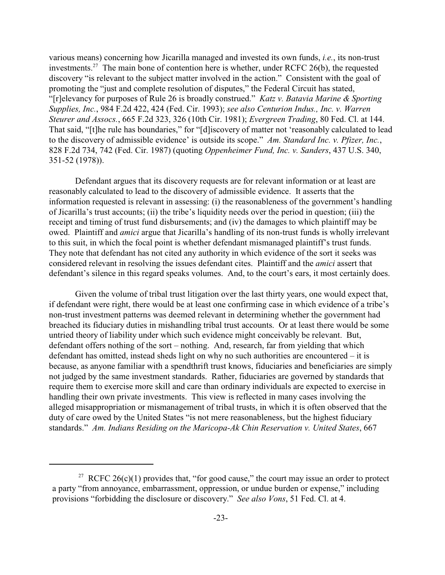various means) concerning how Jicarilla managed and invested its own funds, *i.e.*, its non-trust investments.<sup>27</sup> The main bone of contention here is whether, under RCFC 26(b), the requested discovery "is relevant to the subject matter involved in the action." Consistent with the goal of promoting the "just and complete resolution of disputes," the Federal Circuit has stated, "[r]elevancy for purposes of Rule 26 is broadly construed." *Katz v. Batavia Marine & Sporting Supplies, Inc.*, 984 F.2d 422, 424 (Fed. Cir. 1993); *see also Centurion Indus., Inc. v. Warren Steurer and Assocs.*, 665 F.2d 323, 326 (10th Cir. 1981); *Evergreen Trading*, 80 Fed. Cl. at 144. That said, "[t]he rule has boundaries," for "[d]iscovery of matter not 'reasonably calculated to lead to the discovery of admissible evidence' is outside its scope." *Am. Standard Inc. v. Pfizer, Inc.*, 828 F.2d 734, 742 (Fed. Cir. 1987) (quoting *Oppenheimer Fund, Inc. v. Sanders*, 437 U.S. 340, 351-52 (1978)).

Defendant argues that its discovery requests are for relevant information or at least are reasonably calculated to lead to the discovery of admissible evidence. It asserts that the information requested is relevant in assessing: (i) the reasonableness of the government's handling of Jicarilla's trust accounts; (ii) the tribe's liquidity needs over the period in question; (iii) the receipt and timing of trust fund disbursements; and (iv) the damages to which plaintiff may be owed. Plaintiff and *amici* argue that Jicarilla's handling of its non-trust funds is wholly irrelevant to this suit, in which the focal point is whether defendant mismanaged plaintiff's trust funds. They note that defendant has not cited any authority in which evidence of the sort it seeks was considered relevant in resolving the issues defendant cites. Plaintiff and the *amici* assert that defendant's silence in this regard speaks volumes. And, to the court's ears, it most certainly does.

Given the volume of tribal trust litigation over the last thirty years, one would expect that, if defendant were right, there would be at least one confirming case in which evidence of a tribe's non-trust investment patterns was deemed relevant in determining whether the government had breached its fiduciary duties in mishandling tribal trust accounts. Or at least there would be some untried theory of liability under which such evidence might conceivably be relevant. But, defendant offers nothing of the sort – nothing. And, research, far from yielding that which defendant has omitted, instead sheds light on why no such authorities are encountered – it is because, as anyone familiar with a spendthrift trust knows, fiduciaries and beneficiaries are simply not judged by the same investment standards. Rather, fiduciaries are governed by standards that require them to exercise more skill and care than ordinary individuals are expected to exercise in handling their own private investments. This view is reflected in many cases involving the alleged misappropriation or mismanagement of tribal trusts, in which it is often observed that the duty of care owed by the United States "is not mere reasonableness, but the highest fiduciary standards." *Am. Indians Residing on the Maricopa-Ak Chin Reservation v. United States*, 667

<sup>&</sup>lt;sup>27</sup> RCFC 26(c)(1) provides that, "for good cause," the court may issue an order to protect a party "from annoyance, embarrassment, oppression, or undue burden or expense," including provisions "forbidding the disclosure or discovery." *See also Vons*, 51 Fed. Cl. at 4.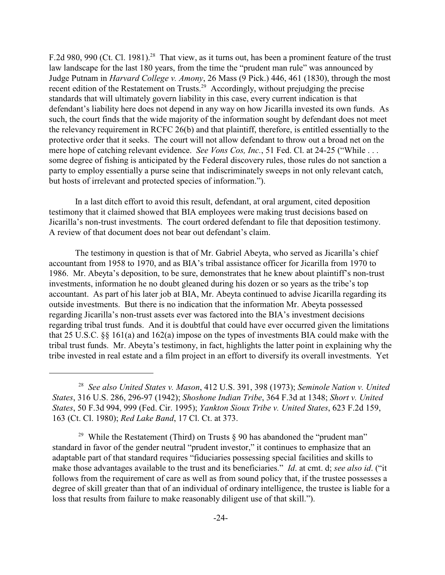F.2d 980, 990 (Ct. Cl. 1981).<sup>28</sup> That view, as it turns out, has been a prominent feature of the trust law landscape for the last 180 years, from the time the "prudent man rule" was announced by Judge Putnam in *Harvard College v. Amony*, 26 Mass (9 Pick.) 446, 461 (1830), through the most recent edition of the Restatement on Trusts.<sup>29</sup> Accordingly, without prejudging the precise standards that will ultimately govern liability in this case, every current indication is that defendant's liability here does not depend in any way on how Jicarilla invested its own funds. As such, the court finds that the wide majority of the information sought by defendant does not meet the relevancy requirement in RCFC 26(b) and that plaintiff, therefore, is entitled essentially to the protective order that it seeks. The court will not allow defendant to throw out a broad net on the mere hope of catching relevant evidence. *See Vons Cos, Inc.*, 51 Fed. Cl. at 24-25 ("While . . . some degree of fishing is anticipated by the Federal discovery rules, those rules do not sanction a party to employ essentially a purse seine that indiscriminately sweeps in not only relevant catch, but hosts of irrelevant and protected species of information.").

In a last ditch effort to avoid this result, defendant, at oral argument, cited deposition testimony that it claimed showed that BIA employees were making trust decisions based on Jicarilla's non-trust investments. The court ordered defendant to file that deposition testimony. A review of that document does not bear out defendant's claim.

The testimony in question is that of Mr. Gabriel Abeyta, who served as Jicarilla's chief accountant from 1958 to 1970, and as BIA's tribal assistance officer for Jicarilla from 1970 to 1986. Mr. Abeyta's deposition, to be sure, demonstrates that he knew about plaintiff's non-trust investments, information he no doubt gleaned during his dozen or so years as the tribe's top accountant. As part of his later job at BIA, Mr. Abeyta continued to advise Jicarilla regarding its outside investments. But there is no indication that the information Mr. Abeyta possessed regarding Jicarilla's non-trust assets ever was factored into the BIA's investment decisions regarding tribal trust funds. And it is doubtful that could have ever occurred given the limitations that 25 U.S.C. §§ 161(a) and 162(a) impose on the types of investments BIA could make with the tribal trust funds. Mr. Abeyta's testimony, in fact, highlights the latter point in explaining why the tribe invested in real estate and a film project in an effort to diversify its overall investments. Yet

<sup>&</sup>lt;sup>28</sup> See also United States v. Mason, 412 U.S. 391, 398 (1973); Seminole Nation v. United *States*, 316 U.S. 286, 296-97 (1942); *Shoshone Indian Tribe*, 364 F.3d at 1348; *Short v. United States*, 50 F.3d 994, 999 (Fed. Cir. 1995); *Yankton Sioux Tribe v. United States*, 623 F.2d 159, 163 (Ct. Cl. 1980); *Red Lake Band*, 17 Cl. Ct. at 373.

<sup>&</sup>lt;sup>29</sup> While the Restatement (Third) on Trusts  $\S$  90 has abandoned the "prudent man" standard in favor of the gender neutral "prudent investor," it continues to emphasize that an adaptable part of that standard requires "fiduciaries possessing special facilities and skills to make those advantages available to the trust and its beneficiaries." *Id*. at cmt. d; *see also id*. ("it follows from the requirement of care as well as from sound policy that, if the trustee possesses a degree of skill greater than that of an individual of ordinary intelligence, the trustee is liable for a loss that results from failure to make reasonably diligent use of that skill.").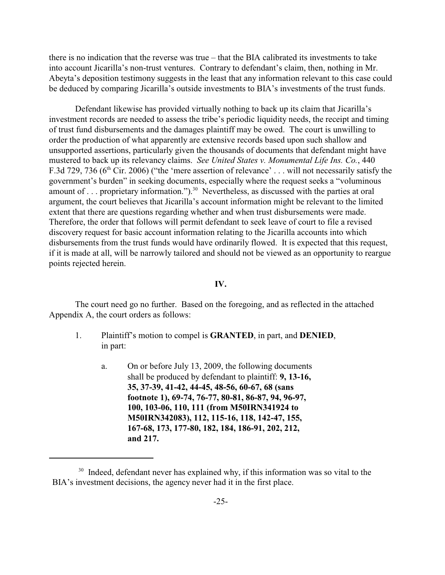there is no indication that the reverse was true – that the BIA calibrated its investments to take into account Jicarilla's non-trust ventures. Contrary to defendant's claim, then, nothing in Mr. Abeyta's deposition testimony suggests in the least that any information relevant to this case could be deduced by comparing Jicarilla's outside investments to BIA's investments of the trust funds.

Defendant likewise has provided virtually nothing to back up its claim that Jicarilla's investment records are needed to assess the tribe's periodic liquidity needs, the receipt and timing of trust fund disbursements and the damages plaintiff may be owed. The court is unwilling to order the production of what apparently are extensive records based upon such shallow and unsupported assertions, particularly given the thousands of documents that defendant might have mustered to back up its relevancy claims. *See United States v. Monumental Life Ins. Co.*, 440 F.3d 729, 736 ( $6<sup>th</sup>$  Cir. 2006) ("the 'mere assertion of relevance' ... will not necessarily satisfy the government's burden" in seeking documents, especially where the request seeks a "voluminous amount of . . . proprietary information.").<sup>30</sup> Nevertheless, as discussed with the parties at oral argument, the court believes that Jicarilla's account information might be relevant to the limited extent that there are questions regarding whether and when trust disbursements were made. Therefore, the order that follows will permit defendant to seek leave of court to file a revised discovery request for basic account information relating to the Jicarilla accounts into which disbursements from the trust funds would have ordinarily flowed. It is expected that this request, if it is made at all, will be narrowly tailored and should not be viewed as an opportunity to reargue points rejected herein.

#### **IV.**

The court need go no further. Based on the foregoing, and as reflected in the attached Appendix A, the court orders as follows:

- 1. Plaintiff's motion to compel is **GRANTED**, in part, and **DENIED**, in part:
	- a. On or before July 13, 2009, the following documents shall be produced by defendant to plaintiff: **9, 13-16, 35, 37-39, 41-42, 44-45, 48-56, 60-67, 68 (sans footnote 1), 69-74, 76-77, 80-81, 86-87, 94, 96-97, 100, 103-06, 110, 111 (from M50IRN341924 to M50IRN342083), 112, 115-16, 118, 142-47, 155, 167-68, 173, 177-80, 182, 184, 186-91, 202, 212, and 217.**

 $30$  Indeed, defendant never has explained why, if this information was so vital to the BIA's investment decisions, the agency never had it in the first place.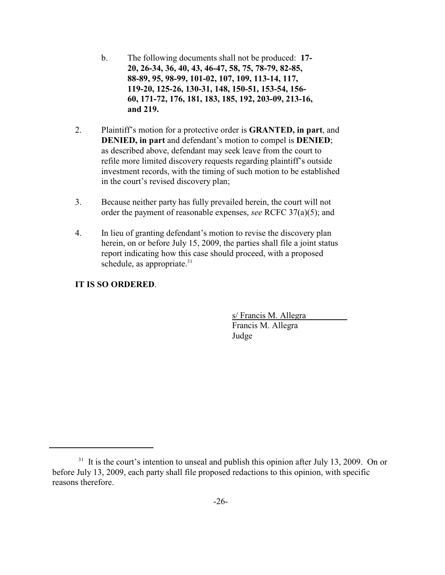- b. The following documents shall not be produced: **17- 20, 26-34, 36, 40, 43, 46-47, 58, 75, 78-79, 82-85, 88-89, 95, 98-99, 101-02, 107, 109, 113-14, 117, 119-20, 125-26, 130-31, 148, 150-51, 153-54, 156- 60, 171-72, 176, 181, 183, 185, 192, 203-09, 213-16, and 219.**
- 2. Plaintiff's motion for a protective order is **GRANTED, in part**, and **DENIED, in part** and defendant's motion to compel is **DENIED**; as described above, defendant may seek leave from the court to refile more limited discovery requests regarding plaintiff's outside investment records, with the timing of such motion to be established in the court's revised discovery plan;
- 3. Because neither party has fully prevailed herein, the court will not order the payment of reasonable expenses, *see* RCFC 37(a)(5); and
- 4. In lieu of granting defendant's motion to revise the discovery plan herein, on or before July 15, 2009, the parties shall file a joint status report indicating how this case should proceed, with a proposed schedule, as appropriate. $31$

## **IT IS SO ORDERED**.

s/ Francis M. Allegra Francis M. Allegra Judge

 $11$  It is the court's intention to unseal and publish this opinion after July 13, 2009. On or before July 13, 2009, each party shall file proposed redactions to this opinion, with specific reasons therefore.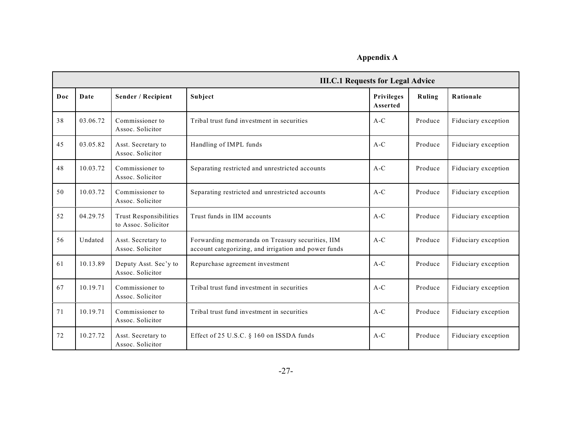## **Appendix A**

|     | <b>III.C.1 Requests for Legal Advice</b> |                                                      |                                                                                                          |                        |         |                     |
|-----|------------------------------------------|------------------------------------------------------|----------------------------------------------------------------------------------------------------------|------------------------|---------|---------------------|
| Doc | Date                                     | Sender / Recipient                                   | Subject                                                                                                  | Privileges<br>Asserted | Ruling  | Rationale           |
| 38  | 03.06.72                                 | Commissioner to<br>Assoc. Solicitor                  | Tribal trust fund investment in securities                                                               | $A-C$                  | Produce | Fiduciary exception |
| 45  | 03.05.82                                 | Asst. Secretary to<br>Assoc. Solicitor               | Handling of IMPL funds                                                                                   | $A-C$                  | Produce | Fiduciary exception |
| 48  | 10.03.72                                 | Commissioner to<br>Assoc. Solicitor                  | Separating restricted and unrestricted accounts                                                          | $A-C$                  | Produce | Fiduciary exception |
| 50  | 10.03.72                                 | Commissioner to<br>Assoc. Solicitor                  | Separating restricted and unrestricted accounts                                                          | $A-C$                  | Produce | Fiduciary exception |
| 52  | 04.29.75                                 | <b>Trust Responsibilities</b><br>to Assoc. Solicitor | Trust funds in IIM accounts                                                                              | $A-C$                  | Produce | Fiduciary exception |
| 56  | Undated                                  | Asst. Secretary to<br>Assoc. Solicitor               | Forwarding memoranda on Treasury securities, IIM<br>account categorizing, and irrigation and power funds | $A-C$                  | Produce | Fiduciary exception |
| 61  | 10.13.89                                 | Deputy Asst. Sec'y to<br>Assoc. Solicitor            | Repurchase agreement investment                                                                          | $A-C$                  | Produce | Fiduciary exception |
| 67  | 10.19.71                                 | Commissioner to<br>Assoc. Solicitor                  | Tribal trust fund investment in securities                                                               | $A-C$                  | Produce | Fiduciary exception |
| 71  | 10.19.71                                 | Commissioner to<br>Assoc. Solicitor                  | Tribal trust fund investment in securities                                                               | $A-C$                  | Produce | Fiduciary exception |
| 72  | 10.27.72                                 | Asst. Secretary to<br>Assoc. Solicitor               | Effect of 25 U.S.C. § 160 on ISSDA funds                                                                 | $A-C$                  | Produce | Fiduciary exception |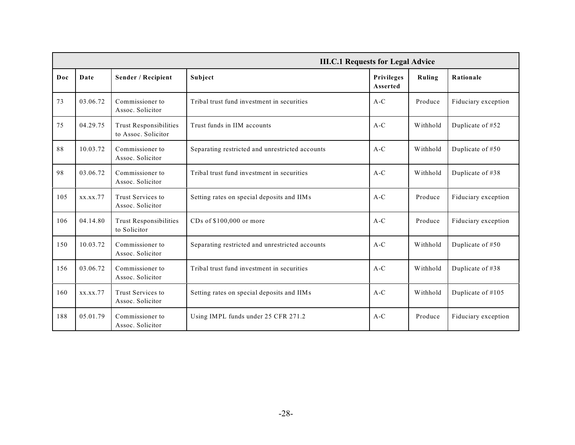|     | <b>III.C.1 Requests for Legal Advice</b> |                                                      |                                                 |                        |          |                     |
|-----|------------------------------------------|------------------------------------------------------|-------------------------------------------------|------------------------|----------|---------------------|
| Doc | Date                                     | Sender / Recipient                                   | Subject                                         | Privileges<br>Asserted | Ruling   | Rationale           |
| 73  | 03.06.72                                 | Commissioner to<br>Assoc. Solicitor                  | Tribal trust fund investment in securities      | $A-C$                  | Produce  | Fiduciary exception |
| 75  | 04.29.75                                 | <b>Trust Responsibilities</b><br>to Assoc. Solicitor | Trust funds in IIM accounts                     | $A-C$                  | Withhold | Duplicate of #52    |
| 88  | 10.03.72                                 | Commissioner to<br>Assoc. Solicitor                  | Separating restricted and unrestricted accounts | $A-C$                  | Withhold | Duplicate of #50    |
| 98  | 03.06.72                                 | Commissioner to<br>Assoc. Solicitor                  | Tribal trust fund investment in securities      | $A-C$                  | Withhold | Duplicate of #38    |
| 105 | XX.XX.77                                 | Trust Services to<br>Assoc. Solicitor                | Setting rates on special deposits and IIMs      | $A-C$                  | Produce  | Fiduciary exception |
| 106 | 04.14.80                                 | <b>Trust Responsibilities</b><br>to Solicitor        | CDs of \$100,000 or more                        | $A-C$                  | Produce  | Fiduciary exception |
| 150 | 10.03.72                                 | Commissioner to<br>Assoc. Solicitor                  | Separating restricted and unrestricted accounts | $A-C$                  | Withhold | Duplicate of #50    |
| 156 | 03.06.72                                 | Commissioner to<br>Assoc. Solicitor                  | Tribal trust fund investment in securities      | $A-C$                  | Withhold | Duplicate of #38    |
| 160 | XX.XX.77                                 | Trust Services to<br>Assoc. Solicitor                | Setting rates on special deposits and IIMs      | $A-C$                  | Withhold | Duplicate of #105   |
| 188 | 05.01.79                                 | Commissioner to<br>Assoc. Solicitor                  | Using IMPL funds under 25 CFR 271.2             | $A-C$                  | Produce  | Fiduciary exception |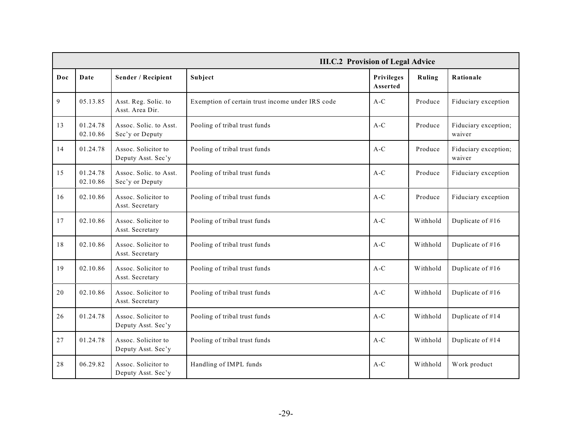|     |                      |                                           | <b>III.C.2 Provision of Legal Advice</b>         |                        |               |                                |
|-----|----------------------|-------------------------------------------|--------------------------------------------------|------------------------|---------------|--------------------------------|
| Doc | Date                 | Sender / Recipient                        | Subject                                          | Privileges<br>Asserted | <b>Ruling</b> | Rationale                      |
| 9   | 05.13.85             | Asst. Reg. Solic. to<br>Asst. Area Dir.   | Exemption of certain trust income under IRS code | $A-C$                  | Produce       | Fiduciary exception            |
| 13  | 01.24.78<br>02.10.86 | Assoc. Solic. to Asst.<br>Sec'y or Deputy | Pooling of tribal trust funds                    | $A-C$                  | Produce       | Fiduciary exception;<br>waiver |
| 14  | 01.24.78             | Assoc. Solicitor to<br>Deputy Asst. Sec'y | Pooling of tribal trust funds                    | $A-C$                  | Produce       | Fiduciary exception;<br>waiver |
| 15  | 01.24.78<br>02.10.86 | Assoc. Solic. to Asst.<br>Sec'y or Deputy | Pooling of tribal trust funds                    | $A-C$                  | Produce       | Fiduciary exception            |
| 16  | 02.10.86             | Assoc. Solicitor to<br>Asst. Secretary    | Pooling of tribal trust funds                    | $A-C$                  | Produce       | Fiduciary exception            |
| 17  | 02.10.86             | Assoc. Solicitor to<br>Asst. Secretary    | Pooling of tribal trust funds                    | $A-C$                  | Withhold      | Duplicate of #16               |
| 18  | 02.10.86             | Assoc. Solicitor to<br>Asst. Secretary    | Pooling of tribal trust funds                    | $A-C$                  | Withhold      | Duplicate of #16               |
| 19  | 02.10.86             | Assoc. Solicitor to<br>Asst. Secretary    | Pooling of tribal trust funds                    | $A-C$                  | Withhold      | Duplicate of #16               |
| 20  | 02.10.86             | Assoc. Solicitor to<br>Asst. Secretary    | Pooling of tribal trust funds                    | $A-C$                  | Withhold      | Duplicate of #16               |
| 26  | 01.24.78             | Assoc. Solicitor to<br>Deputy Asst. Sec'y | Pooling of tribal trust funds                    | $A-C$                  | Withhold      | Duplicate of #14               |
| 27  | 01.24.78             | Assoc. Solicitor to<br>Deputy Asst. Sec'y | Pooling of tribal trust funds                    | $A-C$                  | Withhold      | Duplicate of #14               |
| 28  | 06.29.82             | Assoc. Solicitor to<br>Deputy Asst. Sec'y | Handling of IMPL funds                           | $A-C$                  | Withhold      | Work product                   |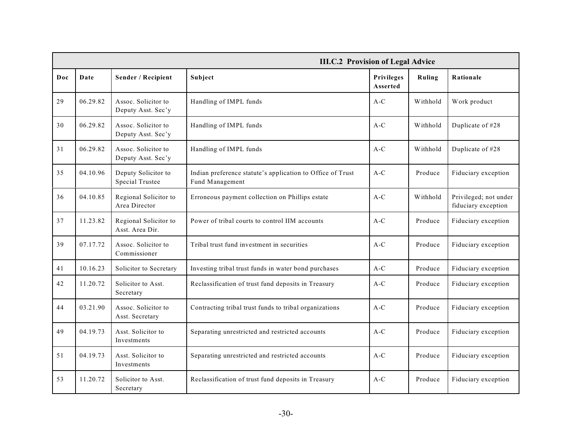|     |          |                                           | <b>III.C.2 Provision of Legal Advice</b>                                      |                        |               |                                              |
|-----|----------|-------------------------------------------|-------------------------------------------------------------------------------|------------------------|---------------|----------------------------------------------|
| Doc | Date     | Sender / Recipient                        | Subject                                                                       | Privileges<br>Asserted | <b>Ruling</b> | Rationale                                    |
| 29  | 06.29.82 | Assoc. Solicitor to<br>Deputy Asst. Sec'y | Handling of IMPL funds                                                        | $A-C$                  | Withhold      | Work product                                 |
| 30  | 06.29.82 | Assoc. Solicitor to<br>Deputy Asst. Sec'y | Handling of IMPL funds                                                        | $A-C$                  | Withhold      | Duplicate of #28                             |
| 31  | 06.29.82 | Assoc. Solicitor to<br>Deputy Asst. Sec'y | Handling of IMPL funds                                                        | $A-C$                  | Withhold      | Duplicate of #28                             |
| 35  | 04.10.96 | Deputy Solicitor to<br>Special Trustee    | Indian preference statute's application to Office of Trust<br>Fund Management | $A-C$                  | Produce       | Fiduciary exception                          |
| 36  | 04.10.85 | Regional Solicitor to<br>Area Director    | Erroneous payment collection on Phillips estate                               | $A-C$                  | Withhold      | Privileged; not under<br>fiduciary exception |
| 37  | 11.23.82 | Regional Solicitor to<br>Asst. Area Dir.  | Power of tribal courts to control IIM accounts                                | $A-C$                  | Produce       | Fiduciary exception                          |
| 39  | 07.17.72 | Assoc. Solicitor to<br>Commissioner       | Tribal trust fund investment in securities                                    | $A-C$                  | Produce       | Fiduciary exception                          |
| 41  | 10.16.23 | Solicitor to Secretary                    | Investing tribal trust funds in water bond purchases                          | $A-C$                  | Produce       | Fiduciary exception                          |
| 42  | 11.20.72 | Solicitor to Asst.<br>Secretary           | Reclassification of trust fund deposits in Treasury                           | $A-C$                  | Produce       | Fiduciary exception                          |
| 44  | 03.21.90 | Assoc. Solicitor to<br>Asst. Secretary    | Contracting tribal trust funds to tribal organizations                        | $A-C$                  | Produce       | Fiduciary exception                          |
| 49  | 04.19.73 | Asst. Solicitor to<br>Investments         | Separating unrestricted and restricted accounts                               | $A-C$                  | Produce       | Fiduciary exception                          |
| 51  | 04.19.73 | Asst. Solicitor to<br>Investments         | Separating unrestricted and restricted accounts                               | $A-C$                  | Produce       | Fiduciary exception                          |
| 53  | 11.20.72 | Solicitor to Asst.<br>Secretary           | Reclassification of trust fund deposits in Treasury                           | $A-C$                  | Produce       | Fiduciary exception                          |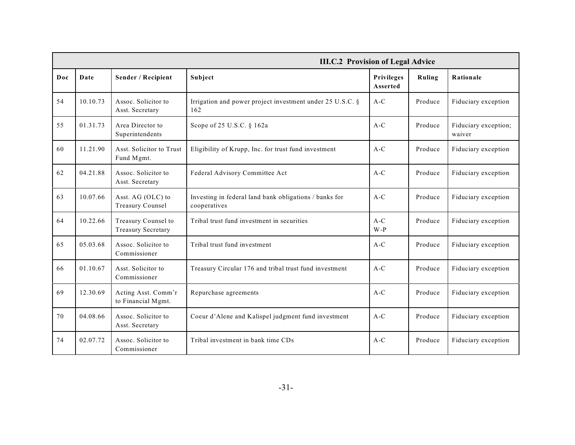|     |          |                                                  | <b>III.C.2 Provision of Legal Advice</b>                               |                               |         |                                |
|-----|----------|--------------------------------------------------|------------------------------------------------------------------------|-------------------------------|---------|--------------------------------|
| Doc | Date     | Sender / Recipient                               | Subject                                                                | <b>Privileges</b><br>Asserted | Ruling  | Rationale                      |
| 54  | 10.10.73 | Assoc. Solicitor to<br>Asst. Secretary           | Irrigation and power project investment under 25 U.S.C. §<br>162       | $A-C$                         | Produce | Fiduciary exception            |
| 55  | 01.31.73 | Area Director to<br>Superintendents              | Scope of 25 U.S.C. § 162a                                              | $A-C$                         | Produce | Fiduciary exception;<br>waiver |
| 60  | 11.21.90 | Asst. Solicitor to Trust<br>Fund Mgmt.           | Eligibility of Krupp, Inc. for trust fund investment                   | $A-C$                         | Produce | Fiduciary exception            |
| 62  | 04.21.88 | Assoc. Solicitor to<br>Asst. Secretary           | Federal Advisory Committee Act                                         | $A-C$                         | Produce | Fiduciary exception            |
| 63  | 10.07.66 | Asst. AG (OLC) to<br><b>Treasury Counsel</b>     | Investing in federal land bank obligations / banks for<br>cooperatives | $A-C$                         | Produce | Fiduciary exception            |
| 64  | 10.22.66 | Treasury Counsel to<br><b>Treasury Secretary</b> | Tribal trust fund investment in securities                             | $A-C$<br>$W - P$              | Produce | Fiduciary exception            |
| 65  | 05.03.68 | Assoc. Solicitor to<br>Commissioner              | Tribal trust fund investment                                           | $A-C$                         | Produce | Fiduciary exception            |
| 66  | 01.10.67 | Asst. Solicitor to<br>Commissioner               | Treasury Circular 176 and tribal trust fund investment                 | $A-C$                         | Produce | Fiduciary exception            |
| 69  | 12.30.69 | Acting Asst. Comm'r<br>to Financial Mgmt.        | Repurchase agreements                                                  | $A-C$                         | Produce | Fiduciary exception            |
| 70  | 04.08.66 | Assoc. Solicitor to<br>Asst. Secretary           | Coeur d'Alene and Kalispel judgment fund investment                    | $A-C$                         | Produce | Fiduciary exception            |
| 74  | 02.07.72 | Assoc. Solicitor to<br>Commissioner              | Tribal investment in bank time CDs                                     | $A-C$                         | Produce | Fiduciary exception            |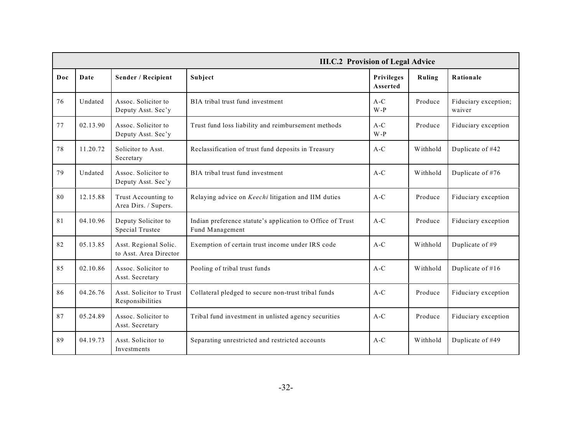|     |          |                                                 | <b>III.C.2 Provision of Legal Advice</b>                                      |                               |          |                                |
|-----|----------|-------------------------------------------------|-------------------------------------------------------------------------------|-------------------------------|----------|--------------------------------|
| Doc | Date     | Sender / Recipient                              | Subject                                                                       | <b>Privileges</b><br>Asserted | Ruling   | Rationale                      |
| 76  | Undated  | Assoc. Solicitor to<br>Deputy Asst. Sec'y       | BIA tribal trust fund investment                                              | $A-C$<br>$W - P$              | Produce  | Fiduciary exception;<br>waiver |
| 77  | 02.13.90 | Assoc. Solicitor to<br>Deputy Asst. Sec'y       | Trust fund loss liability and reimbursement methods                           | $A-C$<br>$W - P$              | Produce  | Fiduciary exception            |
| 78  | 11.20.72 | Solicitor to Asst.<br>Secretary                 | Reclassification of trust fund deposits in Treasury                           | $A-C$                         | Withhold | Duplicate of #42               |
| 79  | Undated  | Assoc. Solicitor to<br>Deputy Asst. Sec'y       | BIA tribal trust fund investment                                              | $A-C$                         | Withhold | Duplicate of #76               |
| 80  | 12.15.88 | Trust Accounting to<br>Area Dirs. / Supers.     | Relaying advice on Keechi litigation and IIM duties                           | $A-C$                         | Produce  | Fiduciary exception            |
| 81  | 04.10.96 | Deputy Solicitor to<br>Special Trustee          | Indian preference statute's application to Office of Trust<br>Fund Management | $A-C$                         | Produce  | Fiduciary exception            |
| 82  | 05.13.85 | Asst. Regional Solic.<br>to Asst. Area Director | Exemption of certain trust income under IRS code                              | $A-C$                         | Withhold | Duplicate of #9                |
| 85  | 02.10.86 | Assoc. Solicitor to<br>Asst. Secretary          | Pooling of tribal trust funds                                                 | $A-C$                         | Withhold | Duplicate of #16               |
| 86  | 04.26.76 | Asst. Solicitor to Trust<br>Responsibilities    | Collateral pledged to secure non-trust tribal funds                           | $A-C$                         | Produce  | Fiduciary exception            |
| 87  | 05.24.89 | Assoc. Solicitor to<br>Asst. Secretary          | Tribal fund investment in unlisted agency securities                          | $A-C$                         | Produce  | Fiduciary exception            |
| 89  | 04.19.73 | Asst. Solicitor to<br>Investments               | Separating unrestricted and restricted accounts                               | $A-C$                         | Withhold | Duplicate of #49               |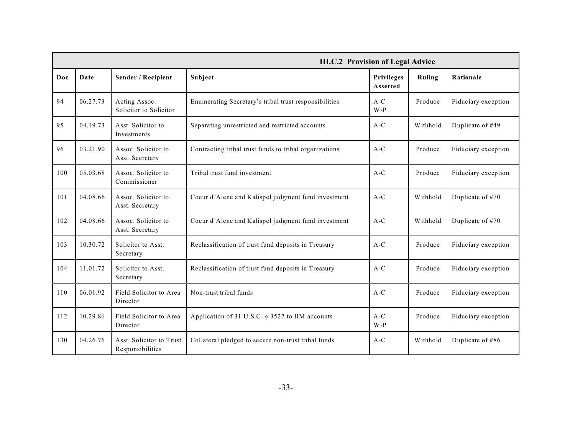|     |          |                                              | <b>III.C.2 Provision of Legal Advice</b>               |                               |          |                     |
|-----|----------|----------------------------------------------|--------------------------------------------------------|-------------------------------|----------|---------------------|
| Doc | Date     | Sender / Recipient                           | Subject                                                | <b>Privileges</b><br>Asserted | Ruling   | Rationale           |
| 94  | 06.27.73 | Acting Assoc.<br>Solicitor to Solicitor      | Enumerating Secretary's tribal trust responsibilities  | $A-C$<br>$W - P$              | Produce  | Fiduciary exception |
| 95  | 04.19.73 | Asst. Solicitor to<br>Investments            | Separating unrestricted and restricted accounts        | $A-C$                         | Withhold | Duplicate of #49    |
| 96  | 03.21.90 | Assoc. Solicitor to<br>Asst. Secretary       | Contracting tribal trust funds to tribal organizations | $A-C$                         | Produce  | Fiduciary exception |
| 100 | 05.03.68 | Assoc. Solicitor to<br>Commissioner          | Tribal trust fund investment                           | $A-C$                         | Produce  | Fiduciary exception |
| 101 | 04.08.66 | Assoc. Solicitor to<br>Asst. Secretary       | Coeur d'Alene and Kalispel judgment fund investment    | $A-C$                         | Withhold | Duplicate of #70    |
| 102 | 04.08.66 | Assoc. Solicitor to<br>Asst. Secretary       | Coeur d'Alene and Kalispel judgment fund investment    | $A-C$                         | Withhold | Duplicate of #70    |
| 103 | 10.30.72 | Solicitor to Asst.<br>Secretary              | Reclassification of trust fund deposits in Treasury    | $A-C$                         | Produce  | Fiduciary exception |
| 104 | 11.01.72 | Solicitor to Asst.<br>Secretary              | Reclassification of trust fund deposits in Treasury    | $A-C$                         | Produce  | Fiduciary exception |
| 110 | 06.01.92 | Field Solicitor to Area<br>Director          | Non-trust tribal funds                                 | $A-C$                         | Produce  | Fiduciary exception |
| 112 | 10.29.86 | Field Solicitor to Area<br>Director          | Application of 31 U.S.C. § 3527 to IIM accounts        | $A-C$<br>$W - P$              | Produce  | Fiduciary exception |
| 130 | 04.26.76 | Asst. Solicitor to Trust<br>Responsibilities | Collateral pledged to secure non-trust tribal funds    | $A-C$                         | Withhold | Duplicate of #86    |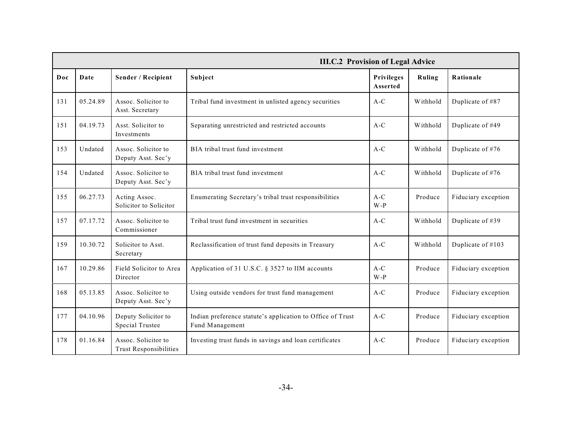|     | <b>III.C.2 Provision of Legal Advice</b> |                                                      |                                                                               |                        |          |                     |
|-----|------------------------------------------|------------------------------------------------------|-------------------------------------------------------------------------------|------------------------|----------|---------------------|
| Doc | Date                                     | Sender / Recipient                                   | Subject                                                                       | Privileges<br>Asserted | Ruling   | Rationale           |
| 131 | 05.24.89                                 | Assoc. Solicitor to<br>Asst. Secretary               | Tribal fund investment in unlisted agency securities                          | $A-C$                  | Withhold | Duplicate of #87    |
| 151 | 04.19.73                                 | Asst. Solicitor to<br>Investments                    | Separating unrestricted and restricted accounts                               | $A-C$                  | Withhold | Duplicate of #49    |
| 153 | Undated                                  | Assoc. Solicitor to<br>Deputy Asst. Sec'y            | BIA tribal trust fund investment                                              | $A-C$                  | Withhold | Duplicate of #76    |
| 154 | Undated                                  | Assoc. Solicitor to<br>Deputy Asst. Sec'y            | BIA tribal trust fund investment                                              | $A-C$                  | Withhold | Duplicate of #76    |
| 155 | 06.27.73                                 | Acting Assoc.<br>Solicitor to Solicitor              | Enumerating Secretary's tribal trust responsibilities                         | $A-C$<br>$W-P$         | Produce  | Fiduciary exception |
| 157 | 07.17.72                                 | Assoc. Solicitor to<br>Commissioner                  | Tribal trust fund investment in securities                                    | $A-C$                  | Withhold | Duplicate of #39    |
| 159 | 10.30.72                                 | Solicitor to Asst.<br>Secretary                      | Reclassification of trust fund deposits in Treasury                           | $A-C$                  | Withhold | Duplicate of #103   |
| 167 | 10.29.86                                 | Field Solicitor to Area<br>Director                  | Application of 31 U.S.C. § 3527 to IIM accounts                               | $A-C$<br>$W - P$       | Produce  | Fiduciary exception |
| 168 | 05.13.85                                 | Assoc. Solicitor to<br>Deputy Asst. Sec'y            | Using outside vendors for trust fund management                               | $A-C$                  | Produce  | Fiduciary exception |
| 177 | 04.10.96                                 | Deputy Solicitor to<br><b>Special Trustee</b>        | Indian preference statute's application to Office of Trust<br>Fund Management | $A-C$                  | Produce  | Fiduciary exception |
| 178 | 01.16.84                                 | Assoc. Solicitor to<br><b>Trust Responsibilities</b> | Investing trust funds in savings and loan certificates                        | $A-C$                  | Produce  | Fiduciary exception |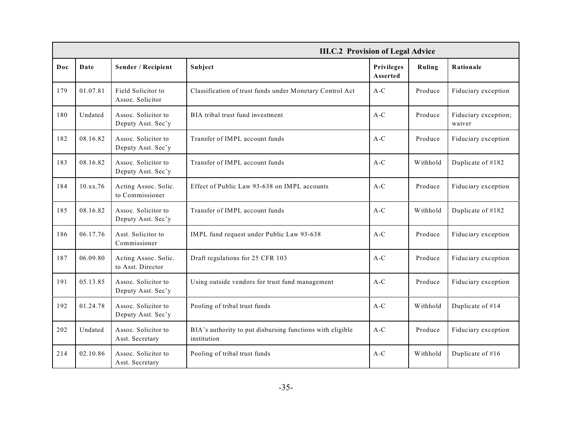|     |          |                                           | <b>III.C.2 Provision of Legal Advice</b>                                 |                        |          |                                |
|-----|----------|-------------------------------------------|--------------------------------------------------------------------------|------------------------|----------|--------------------------------|
| Doc | Date     | Sender / Recipient                        | Subject                                                                  | Privileges<br>Asserted | Ruling   | Rationale                      |
| 179 | 01.07.81 | Field Solicitor to<br>Assoc. Solicitor    | Classification of trust funds under Monetary Control Act                 | $A-C$                  | Produce  | Fiduciary exception            |
| 180 | Undated  | Assoc. Solicitor to<br>Deputy Asst. Sec'y | BIA tribal trust fund investment                                         | $A-C$                  | Produce  | Fiduciary exception;<br>waiver |
| 182 | 08.16.82 | Assoc. Solicitor to<br>Deputy Asst. Sec'y | Transfer of IMPL account funds                                           | $A-C$                  | Produce  | Fiduciary exception            |
| 183 | 08.16.82 | Assoc. Solicitor to<br>Deputy Asst. Sec'y | Transfer of IMPL account funds                                           | $A-C$                  | Withhold | Duplicate of #182              |
| 184 | 10.xx.76 | Acting Assoc. Solic.<br>to Commissioner   | Effect of Public Law 93-638 on IMPL accounts                             | $A-C$                  | Produce  | Fiduciary exception            |
| 185 | 08.16.82 | Assoc. Solicitor to<br>Deputy Asst. Sec'y | Transfer of IMPL account funds                                           | $A-C$                  | Withhold | Duplicate of #182              |
| 186 | 06.17.76 | Asst. Solicitor to<br>Commissioner        | IMPL fund request under Public Law 93-638                                | $A-C$                  | Produce  | Fiduciary exception            |
| 187 | 06.09.80 | Acting Assoc. Solic.<br>to Asst. Director | Draft regulations for 25 CFR 103                                         | $A-C$                  | Produce  | Fiduciary exception            |
| 191 | 05.13.85 | Assoc. Solicitor to<br>Deputy Asst. Sec'y | Using outside vendors for trust fund management                          | $A-C$                  | Produce  | Fiduciary exception            |
| 192 | 01.24.78 | Assoc. Solicitor to<br>Deputy Asst. Sec'y | Pooling of tribal trust funds                                            | $A-C$                  | Withhold | Duplicate of #14               |
| 202 | Undated  | Assoc. Solicitor to<br>Asst. Secretary    | BIA's authority to put disbursing functions with eligible<br>institution | $A-C$                  | Produce  | Fiduciary exception            |
| 214 | 02.10.86 | Assoc. Solicitor to<br>Asst. Secretary    | Pooling of tribal trust funds                                            | $A-C$                  | Withhold | Duplicate of #16               |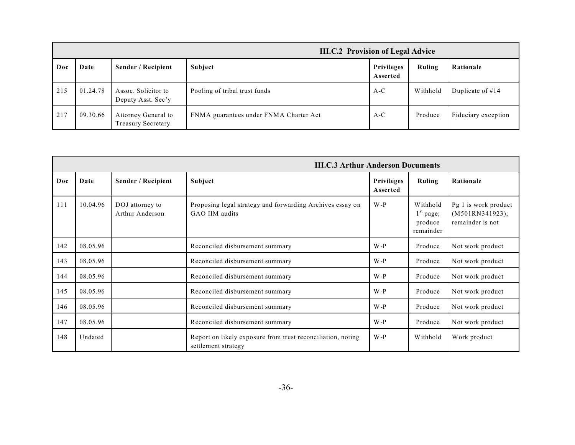|     | <b>III.C.2 Provision of Legal Advice</b> |                                           |                                        |                        |          |                     |
|-----|------------------------------------------|-------------------------------------------|----------------------------------------|------------------------|----------|---------------------|
| Doc | Date                                     | Sender / Recipient                        | Subject                                | Privileges<br>Asserted | Ruling   | Rationale           |
| 215 | 01.24.78                                 | Assoc. Solicitor to<br>Deputy Asst. Sec'y | Pooling of tribal trust funds          | $A-C$                  | Withhold | Duplicate of $#14$  |
| 217 | 09.30.66                                 | Attorney General to<br>Treasury Secretary | FNMA guarantees under FNMA Charter Act | $A-C$                  | Produce  | Fiduciary exception |

|     |          |                                    | <b>III.C.3 Arthur Anderson Documents</b>                                           |                        |                                                 |                                                             |
|-----|----------|------------------------------------|------------------------------------------------------------------------------------|------------------------|-------------------------------------------------|-------------------------------------------------------------|
| Doc | Date     | Sender / Recipient                 | Subject                                                                            | Privileges<br>Asserted | Ruling                                          | Rationale                                                   |
| 111 | 10.04.96 | DOJ attorney to<br>Arthur Anderson | Proposing legal strategy and forwarding Archives essay on<br>GAO IIM audits        | $W-P$                  | Withhold<br>$1st$ page;<br>produce<br>remainder | Pg 1 is work product<br>(M501RN341923);<br>remainder is not |
| 142 | 08.05.96 |                                    | Reconciled disbursement summary                                                    | $W - P$                | Produce                                         | Not work product                                            |
| 143 | 08.05.96 |                                    | Reconciled disbursement summary                                                    | $W - P$                | Produce                                         | Not work product                                            |
| 144 | 08.05.96 |                                    | Reconciled disbursement summary                                                    | $W-P$                  | Produce                                         | Not work product                                            |
| 145 | 08.05.96 |                                    | Reconciled disbursement summary                                                    | $W-P$                  | Produce                                         | Not work product                                            |
| 146 | 08.05.96 |                                    | Reconciled disbursement summary                                                    | $W-P$                  | Produce                                         | Not work product                                            |
| 147 | 08.05.96 |                                    | Reconciled disbursement summary                                                    | $W-P$                  | Produce                                         | Not work product                                            |
| 148 | Undated  |                                    | Report on likely exposure from trust reconciliation, noting<br>settlement strategy | $W-P$                  | Withhold                                        | Work product                                                |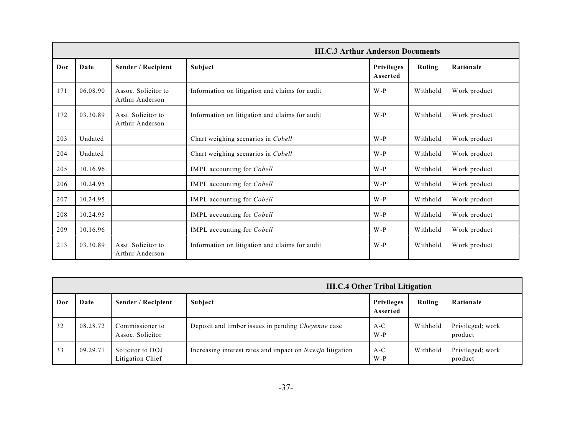|     | <b>III.C.3 Arthur Anderson Documents</b> |                                        |                                                |                               |          |              |
|-----|------------------------------------------|----------------------------------------|------------------------------------------------|-------------------------------|----------|--------------|
| Doc | Date                                     | Sender / Recipient                     | Subject                                        | <b>Privileges</b><br>Asserted | Ruling   | Rationale    |
| 171 | 06.08.90                                 | Assoc. Solicitor to<br>Arthur Anderson | Information on litigation and claims for audit | $W - P$                       | Withhold | Work product |
| 172 | 03.30.89                                 | Asst. Solicitor to<br>Arthur Anderson  | Information on litigation and claims for audit | $W - P$                       | Withhold | Work product |
| 203 | Undated                                  |                                        | Chart weighing scenarios in Cobell             | $W-P$                         | Withhold | Work product |
| 204 | Undated                                  |                                        | Chart weighing scenarios in Cobell             | $W-P$                         | Withhold | Work product |
| 205 | 10.16.96                                 |                                        | IMPL accounting for Cobell                     | $W-P$                         | Withhold | Work product |
| 206 | 10.24.95                                 |                                        | IMPL accounting for Cobell                     | $W-P$                         | Withhold | Work product |
| 207 | 10.24.95                                 |                                        | IMPL accounting for Cobell                     | $W-P$                         | Withhold | Work product |
| 208 | 10.24.95                                 |                                        | IMPL accounting for Cobell                     | $W-P$                         | Withhold | Work product |
| 209 | 10.16.96                                 |                                        | IMPL accounting for Cobell                     | $W-P$                         | Withhold | Work product |
| 213 | 03.30.89                                 | Asst. Solicitor to<br>Arthur Anderson  | Information on litigation and claims for audit | $W - P$                       | Withhold | Work product |

|     |          |                                      | <b>III.C.4 Other Tribal Litigation</b>                           |                               |          |                             |
|-----|----------|--------------------------------------|------------------------------------------------------------------|-------------------------------|----------|-----------------------------|
| Doc | Date     | Sender / Recipient                   | Subject                                                          | <b>Privileges</b><br>Asserted | Ruling   | Rationale                   |
| -32 | 08.28.72 | Commissioner to<br>Assoc. Solicitor  | Deposit and timber issues in pending <i>Cheyenne</i> case        | $A-C$<br>$W-P$                | Withhold | Privileged; work<br>product |
| 33  | 09.29.71 | Solicitor to DOJ<br>Litigation Chief | Increasing interest rates and impact on <i>Navajo</i> litigation | $A-C$<br>$W-P$                | Withhold | Privileged; work<br>product |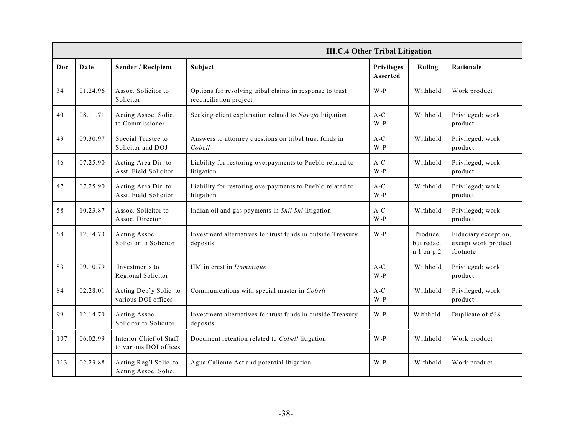|     | <b>III.C.4 Other Tribal Litigation</b> |                                                   |                                                                                    |                               |                                      |                                                         |
|-----|----------------------------------------|---------------------------------------------------|------------------------------------------------------------------------------------|-------------------------------|--------------------------------------|---------------------------------------------------------|
| Doc | Date                                   | Sender / Recipient                                | Subject                                                                            | <b>Privileges</b><br>Asserted | Ruling                               | Rationale                                               |
| 34  | 01.24.96                               | Assoc. Solicitor to<br>Solicitor                  | Options for resolving tribal claims in response to trust<br>reconciliation project | $W-P$                         | Withhold                             | Work product                                            |
| 40  | 08.11.71                               | Acting Assoc. Solic.<br>to Commissioner           | Seeking client explanation related to Navajo litigation                            | $A-C$<br>$W - P$              | Withhold                             | Privileged; work<br>product                             |
| 43  | 09.30.97                               | Special Trustee to<br>Solicitor and DOJ           | Answers to attorney questions on tribal trust funds in<br>Cobell                   | $A-C$<br>$W - P$              | Withhold                             | Privileged; work<br>product                             |
| 46  | 07.25.90                               | Acting Area Dir. to<br>Asst. Field Solicitor      | Liability for restoring overpayments to Pueblo related to<br>litigation            | $A-C$<br>$W - P$              | Withhold                             | Privileged; work<br>product                             |
| 47  | 07.25.90                               | Acting Area Dir. to<br>Asst. Field Solicitor      | Liability for restoring overpayments to Pueblo related to<br>litigation            | $A-C$<br>$W - P$              | Withhold                             | Privileged; work<br>product                             |
| 58  | 10.23.87                               | Assoc. Solicitor to<br>Assoc. Director            | Indian oil and gas payments in Shii Shi litigation                                 | $A-C$<br>$W - P$              | Withhold                             | Privileged; work<br>product                             |
| 68  | 12.14.70                               | Acting Assoc.<br>Solicitor to Solicitor           | Investment alternatives for trust funds in outside Treasury<br>deposits            | $W - P$                       | Produce,<br>but redact<br>n.1 on p.2 | Fiduciary exception,<br>except work product<br>footnote |
| 83  | 09.10.79                               | Investments to<br>Regional Solicitor              | IIM interest in Dominique                                                          | $A-C$<br>$W - P$              | Withhold                             | Privileged; work<br>product                             |
| 84  | 02.28.01                               | Acting Dep'y Solic. to<br>various DOI offices     | Communications with special master in Cobell                                       | $A-C$<br>$W-P$                | Withhold                             | Privileged; work<br>product                             |
| 99  | 12.14.70                               | Acting Assoc.<br>Solicitor to Solicitor           | Investment alternatives for trust funds in outside Treasury<br>deposits            | $W-P$                         | Withhold                             | Duplicate of #68                                        |
| 107 | 06.02.99                               | Interior Chief of Staff<br>to various DOI offices | Document retention related to Cobell litigation                                    | W-P                           | Withhold                             | Work product                                            |
| 113 | 02.23.88                               | Acting Reg'l Solic. to<br>Acting Assoc. Solic.    | Agua Caliente Act and potential litigation                                         | $W - P$                       | Withhold                             | Work product                                            |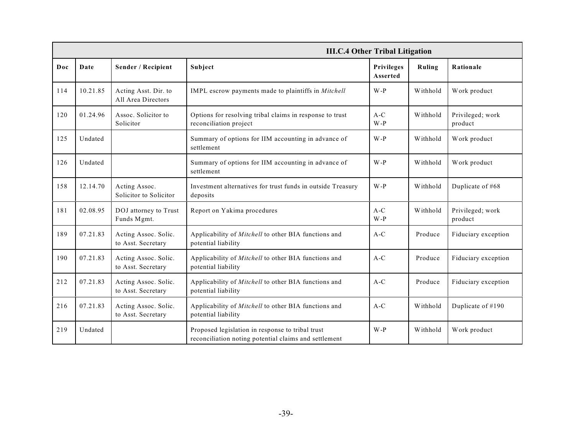|     | <b>III.C.4 Other Tribal Litigation</b> |                                            |                                                                                                           |                               |          |                             |
|-----|----------------------------------------|--------------------------------------------|-----------------------------------------------------------------------------------------------------------|-------------------------------|----------|-----------------------------|
| Doc | Date                                   | Sender / Recipient                         | Subject                                                                                                   | <b>Privileges</b><br>Asserted | Ruling   | Rationale                   |
| 114 | 10.21.85                               | Acting Asst. Dir. to<br>All Area Directors | IMPL escrow payments made to plaintiffs in Mitchell                                                       | W-P                           | Withhold | Work product                |
| 120 | 01.24.96                               | Assoc. Solicitor to<br>Solicitor           | Options for resolving tribal claims in response to trust<br>reconciliation project                        | $A-C$<br>$W - P$              | Withhold | Privileged; work<br>product |
| 125 | Undated                                |                                            | Summary of options for IIM accounting in advance of<br>settlement                                         | $W-P$                         | Withhold | Work product                |
| 126 | Undated                                |                                            | Summary of options for IIM accounting in advance of<br>settlement                                         | W-P                           | Withhold | Work product                |
| 158 | 12.14.70                               | Acting Assoc.<br>Solicitor to Solicitor    | Investment alternatives for trust funds in outside Treasury<br>deposits                                   | $W - P$                       | Withhold | Duplicate of #68            |
| 181 | 02.08.95                               | DOJ attorney to Trust<br>Funds Mgmt.       | Report on Yakima procedures                                                                               | $A-C$<br>W-P                  | Withhold | Privileged; work<br>product |
| 189 | 07.21.83                               | Acting Assoc. Solic.<br>to Asst. Secretary | Applicability of Mitchell to other BIA functions and<br>potential liability                               | $A-C$                         | Produce  | Fiduciary exception         |
| 190 | 07.21.83                               | Acting Assoc. Solic.<br>to Asst. Secretary | Applicability of Mitchell to other BIA functions and<br>potential liability                               | $A-C$                         | Produce  | Fiduciary exception         |
| 212 | 07.21.83                               | Acting Assoc. Solic.<br>to Asst. Secretary | Applicability of Mitchell to other BIA functions and<br>potential liability                               | $A-C$                         | Produce  | Fiduciary exception         |
| 216 | 07.21.83                               | Acting Assoc. Solic.<br>to Asst. Secretary | Applicability of Mitchell to other BIA functions and<br>potential liability                               | $A-C$                         | Withhold | Duplicate of #190           |
| 219 | Undated                                |                                            | Proposed legislation in response to tribal trust<br>reconciliation noting potential claims and settlement | $W - P$                       | Withhold | Work product                |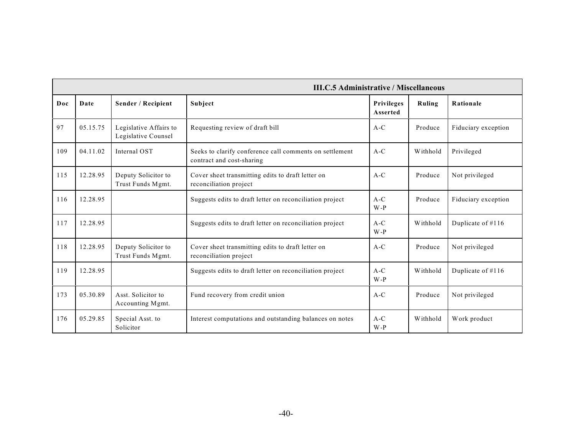|     | <b>III.C.5 Administrative / Miscellaneous</b> |                                               |                                                                                      |                               |          |                     |
|-----|-----------------------------------------------|-----------------------------------------------|--------------------------------------------------------------------------------------|-------------------------------|----------|---------------------|
| Doc | Date                                          | Sender / Recipient                            | Subject                                                                              | <b>Privileges</b><br>Asserted | Ruling   | Rationale           |
| 97  | 05.15.75                                      | Legislative Affairs to<br>Legislative Counsel | Requesting review of draft bill                                                      | $A-C$                         | Produce  | Fiduciary exception |
| 109 | 04.11.02                                      | Internal OST                                  | Seeks to clarify conference call comments on settlement<br>contract and cost-sharing | $A-C$                         | Withhold | Privileged          |
| 115 | 12.28.95                                      | Deputy Solicitor to<br>Trust Funds Mgmt.      | Cover sheet transmitting edits to draft letter on<br>reconciliation project          | $A-C$                         | Produce  | Not privileged      |
| 116 | 12.28.95                                      |                                               | Suggests edits to draft letter on reconciliation project                             | $A-C$<br>$W - P$              | Produce  | Fiduciary exception |
| 117 | 12.28.95                                      |                                               | Suggests edits to draft letter on reconciliation project                             | $A-C$<br>$W - P$              | Withhold | Duplicate of #116   |
| 118 | 12.28.95                                      | Deputy Solicitor to<br>Trust Funds Mgmt.      | Cover sheet transmitting edits to draft letter on<br>reconciliation project          | $A-C$                         | Produce  | Not privileged      |
| 119 | 12.28.95                                      |                                               | Suggests edits to draft letter on reconciliation project                             | $A-C$<br>$W - P$              | Withhold | Duplicate of #116   |
| 173 | 05.30.89                                      | Asst. Solicitor to<br>Accounting Mgmt.        | Fund recovery from credit union                                                      | $A-C$                         | Produce  | Not privileged      |
| 176 | 05.29.85                                      | Special Asst. to<br>Solicitor                 | Interest computations and outstanding balances on notes                              | $A-C$<br>$W - P$              | Withhold | Work product        |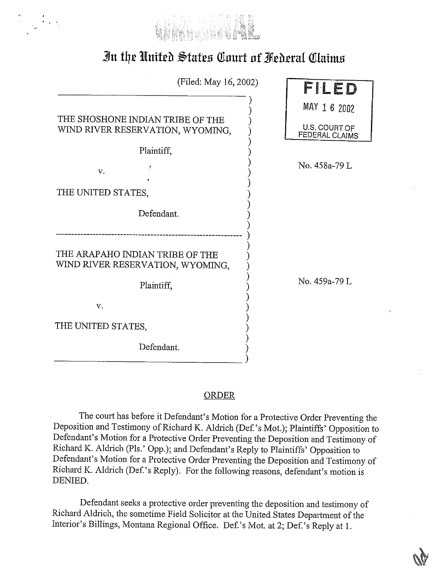

## In the United States Court of Federal Claims

| (Filed: May 16, 2002)                                                |                                        |
|----------------------------------------------------------------------|----------------------------------------|
|                                                                      | FILED                                  |
|                                                                      | MAY 1 6 2002                           |
| THE SHOSHONE INDIAN TRIBE OF THE<br>WIND RIVER RESERVATION, WYOMING, | U.S. COURT OF<br><b>FEDERAL CLAIMS</b> |
| Plaintiff,                                                           |                                        |
| $\pm$ $\frac{1}{2}$<br>v.                                            | No. 458a-79 L                          |
|                                                                      |                                        |
| THE UNITED STATES,                                                   |                                        |
| Defendant.                                                           |                                        |
| THE ARAPAHO INDIAN TRIBE OF THE<br>WIND RIVER RESERVATION, WYOMING,  |                                        |
| Plaintiff.                                                           | No. 459a-79 L                          |
| v.                                                                   |                                        |
| THE UNITED STATES,                                                   |                                        |
| Defendant.                                                           |                                        |

## **ORDER**

 $\lambda$ 

The court has before it Defendant's Motion for a Protective Order Preventing the Deposition and Testimony of Richard K. Aldrich (Def.'s Mot.); Plaintiffs' Opposition to Defendant's Motion for a Protective Order Preventing the Deposition and Testimony of Richard K. Aldrich (Pls.' Opp.); and Defendant's Reply to Plaintiffs' Opposition to Defendant's Motion for a Protective Order Preventing the Deposition and Testimony of Richard K. Aldrich (Def.'s Reply). For the following reasons, defendant's motion is DENIED.

Defendant seeks a protective order preventing the deposition and testimony of Richard Aldrich, the sometime Field Solicitor at the United States Department of the Interior's Billings, Montana Regional Office. Def.'s Mot. at 2; Def.'s Reply at 1.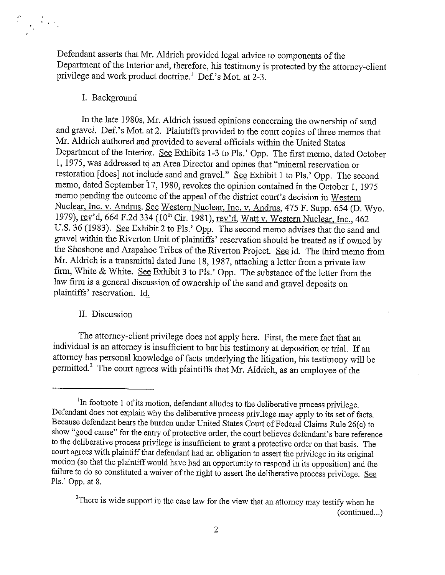Defendant asserts that Mr. Aldrich provided legal advice to components of the Department of the Interior and, therefore, his testimony is protected by the attorney-client privilege and work product doctrine.<sup>1</sup> Def.'s Mot. at 2-3.

## I. Background

 $\label{eq:2} \begin{array}{c} \mathbf{A} \\ \mathbf{B} \\ \mathbf{F}_{\mathbf{p}} \end{array} \xrightarrow{\mathbf{A}} \mathbf{F}$ 

In the late 1980s, Mr. Aldrich issued opinions concerning the ownership of sand and gravel. Def.'s Mot. at 2. Plaintiffs provided to the court copies of three memos that Mr. Aldrich authored and provided to several officials within the United States Department of the Interior. See Exhibits 1-3 to Pls.' Opp. The first memo, dated October 1, 1975, was addressed to an Area Director and opines that "mineral reservation or restoration [does] not include sand and gravel."  $\overline{S}$ ee Exhibit 1 to Pls.' Opp. The second memo, dated September 17, 1980, revokes the opinion contained in the October 1, 1975 memo pending the outcome of the appeal of the district court's decision in Western Nuclear, Inc. v. Andrus. See Western Nuclear, Inc. v. Andrus, 475 F. Supp. 654 (D. Wyo. 1979), rev'd, 664 F.2d 334 (10<sup>th</sup> Cir. 1981), rev'd, Watt v. Western Nuclear, Inc., 462 U.S. 36 (1983). See Exhibit 2 to Pls.' Opp. The second memo advises that the sand and gravel within the Riverton Unit of plaintiffs' reservation should be treated as if owned by the Shoshone and Arapahoe Tribes of the Riverton Project. See id. The third memo from Mr. Aldrich is a transmittal dated June 18, 1987, attaching a letter from a private law firm, White & White. See Exhibit 3 to Pls.' Opp. The substance of the letter from the law firm is a general discussion of ownership of the sand and gravel deposits on plaintiffs' reservation. Id.

## II. Discussion

The attorney-client privilege does not apply here. First, the mere fact that an individual is an attorney is insufficient to bar his testimony at deposition or trial. If an attorney has personal knowledge of facts underlying the litigation, his testimony will be permitted.<sup>2</sup> The court agrees with plaintiffs that Mr. Aldrich, as an employee of the

<sup>&</sup>lt;sup>1</sup>In footnote 1 of its motion, defendant alludes to the deliberative process privilege. Defendant does not explain why the deliberative process privilege may apply to its set of facts. Because defendant bears the burden under United States Court of Federal Claims Rule 26(c) to show "good cause" for the entry of protective order, the court believes defendant's bare reference to the deliberative process privilege is insufficient to grant a protective order on that basis. The court agrees with plaintiff that defendant had an obligation to assert the privilege in its original motion (so that the plaintiff would have had an opportunity to respond in its opposition) and the failure to do so constituted a waiver of the right to assert the deliberative process privilege. See Pls.' Opp. at 8.

<sup>&</sup>lt;sup>2</sup>There is wide support in the case law for the view that an attorney may testify when he (continued...)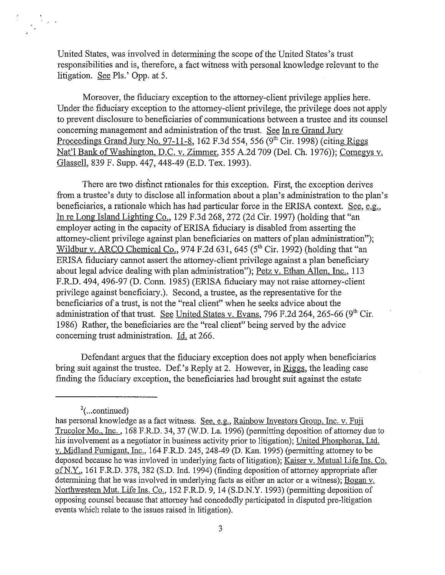United States, was involved in determining the scope of the United States's trust responsibilities and is, therefore, a fact witness with personal knowledge relevant to the litigation. See Pls.' Opp. at 5.

Moreover, the fiduciary exception to the attorney-client privilege applies here. Under the fiduciary exception to the attorney-client privilege, the privilege does not apply to prevent disclosure to beneficiaries of communications between a trustee and its counsel concerning management and administration of the trust. See In re Grand Jury Proceedings Grand Jury No. 97-11-8, 162 F.3d 554, 556  $(9<sup>th</sup> Cir. 1998)$  (citing Riggs Nat'l Bank of Washington, D.C. v. Zimmer, 355 A.2d 709 (Del. Ch. 1976)); Comegys v. Glassell, 839 F. Supp. 447, 448-49 (E.D. Tex. 1993).

There are two distinct rationales for this exception. First, the exception derives from a trustee's duty to disclose all information about a plan's administration to the plan's beneficiaries, a rationale which has had particular force in the ERISA context. See, e.g., In re Long Island Lighting Co., 129 F.3d 268, 272 (2d Cir. 1997) (holding that "an employer acting in the capacity of ERISA fiduciary is disabled from asserting the attorney-client privilege against plan beneficiaries on matters of plan administration"); Wildbur v. ARCO Chemical Co., 974 F.2d 631, 645 (5<sup>th</sup> Cir. 1992) (holding that "an ERISA fiduciary cannot assert the attorney-client privilege against a plan beneficiary about legal advice dealing with plan administration"); Petz v. Ethan Allen, Inc., 113 F.R.D. 494, 496-97 (D. Conn. 1985) (ERISA fiduciary may not raise attorney-client privilege against beneficiary.). Second, a trustee, as the representative for the beneficiaries of a trust, is not the "real client" when he seeks advice about the administration of that trust. See United States v. Evans, 796 F.2d 264, 265-66 (9<sup>th</sup> Cir. 1986) Rather, the beneficiaries are the "real client" being served by the advice concerning trust administration. Id. at 266.

Defendant argues that the fiduciary exception does not apply when beneficiaries bring suit against the trustee. Def.'s Reply at 2. However, in Riggs, the leading case finding the fiduciary exception, the beneficiaries had brought suit against the estate

 $^{2}$ (...continued)

has personal knowledge as a fact witness. See, e.g., Rainbow Investors Group, Inc. v. Fuji Trucolor Mo., Inc., 168 F.R.D. 34, 37 (W.D. La. 1996) (permitting deposition of attorney due to his involvement as a negotiator in business activity prior to litigation); United Phosphorus, Ltd. v. Midland Fumigant, Inc., 164 F.R.D. 245, 248-49 (D. Kan. 1995) (permitting attorney to be deposed because he was invloved in underlying facts of litigation); Kaiser v. Mutual Life Ins. Co. of N.Y., 161 F.R.D. 378, 382 (S.D. Ind. 1994) (finding deposition of attorney appropriate after determining that he was involved in underlying facts as either an actor or a witness); Bogan v. Northwestern Mut. Life Ins. Co., 152 F.R.D. 9, 14 (S.D.N.Y. 1993) (permitting deposition of opposing counsel because that attorney had concededly participated in disputed pre-litigation events which relate to the issues raised in litigation).